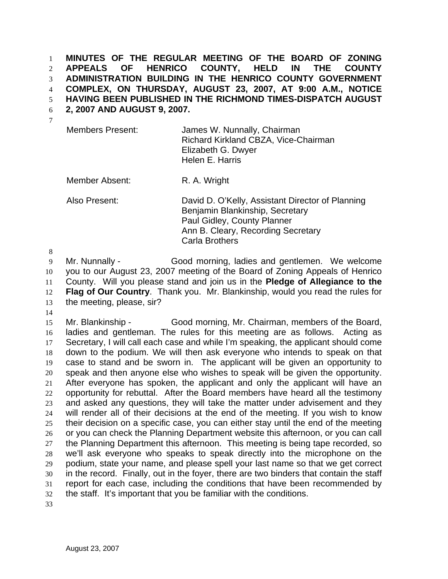**MINUTES OF THE REGULAR MEETING OF THE BOARD OF ZONING APPEALS OF HENRICO COUNTY, HELD IN THE COUNTY ADMINISTRATION BUILDING IN THE HENRICO COUNTY GOVERNMENT COMPLEX, ON THURSDAY, AUGUST 23, 2007, AT 9:00 A.M., NOTICE**  1 2 3 4

**HAVING BEEN PUBLISHED IN THE RICHMOND TIMES-DISPATCH AUGUST**  5

**2, 2007 AND AUGUST 9, 2007.**  6

| Members Present: | James W. Nunnally, Chairman          |
|------------------|--------------------------------------|
|                  | Richard Kirkland CBZA, Vice-Chairman |
|                  | Elizabeth G. Dwyer                   |
|                  | Helen E. Harris                      |

Member Absent: R. A. Wright

Also Present: David D. O'Kelly, Assistant Director of Planning Benjamin Blankinship, Secretary Paul Gidley, County Planner Ann B. Cleary, Recording Secretary Carla Brothers

8

9 10 11 12 13 Mr. Nunnally - Good morning, ladies and gentlemen. We welcome you to our August 23, 2007 meeting of the Board of Zoning Appeals of Henrico County. Will you please stand and join us in the **Pledge of Allegiance to the Flag of Our Country**. Thank you. Mr. Blankinship, would you read the rules for the meeting, please, sir?

14

15 16 17 18 19 20 21 22 23 24 25 26 27 28 29 30 31 32 Mr. Blankinship - Good morning, Mr. Chairman, members of the Board, ladies and gentleman. The rules for this meeting are as follows. Acting as Secretary, I will call each case and while I'm speaking, the applicant should come down to the podium. We will then ask everyone who intends to speak on that case to stand and be sworn in. The applicant will be given an opportunity to speak and then anyone else who wishes to speak will be given the opportunity. After everyone has spoken, the applicant and only the applicant will have an opportunity for rebuttal. After the Board members have heard all the testimony and asked any questions, they will take the matter under advisement and they will render all of their decisions at the end of the meeting. If you wish to know their decision on a specific case, you can either stay until the end of the meeting or you can check the Planning Department website this afternoon, or you can call the Planning Department this afternoon. This meeting is being tape recorded, so we'll ask everyone who speaks to speak directly into the microphone on the podium, state your name, and please spell your last name so that we get correct in the record. Finally, out in the foyer, there are two binders that contain the staff report for each case, including the conditions that have been recommended by the staff. It's important that you be familiar with the conditions.

33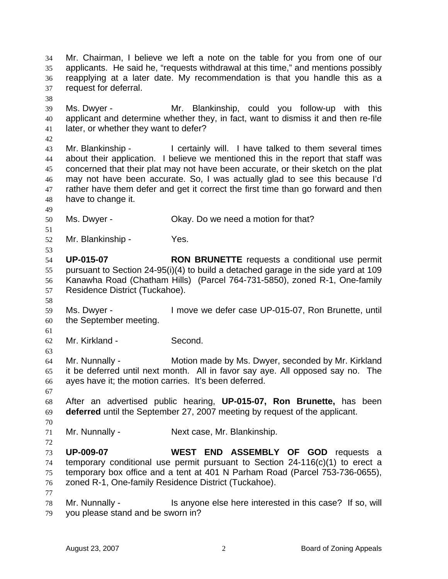Mr. Chairman, I believe we left a note on the table for you from one of our applicants. He said he, "requests withdrawal at this time," and mentions possibly reapplying at a later date. My recommendation is that you handle this as a request for deferral. 34 35 36 37 38 39 40 41 42 43 44 45 46 47 48 49 50 51 52 53 54 55 56 57 58 59 60 61 62 63 64 65 66 67 68 69 70 71 72 73 74 75 76 77 78 79 Ms. Dwyer - Mr. Blankinship, could you follow-up with this applicant and determine whether they, in fact, want to dismiss it and then re-file later, or whether they want to defer? Mr. Blankinship - I certainly will. I have talked to them several times about their application. I believe we mentioned this in the report that staff was concerned that their plat may not have been accurate, or their sketch on the plat may not have been accurate. So, I was actually glad to see this because I'd rather have them defer and get it correct the first time than go forward and then have to change it. Ms. Dwyer - Ckay. Do we need a motion for that? Mr. Blankinship - Yes. **UP-015-07 RON BRUNETTE** requests a conditional use permit pursuant to Section 24-95(i)(4) to build a detached garage in the side yard at 109 Kanawha Road (Chatham Hills) (Parcel 764-731-5850), zoned R-1, One-family Residence District (Tuckahoe). Ms. Dwyer - I move we defer case UP-015-07, Ron Brunette, until the September meeting. Mr. Kirkland - Second. Mr. Nunnally - Motion made by Ms. Dwyer, seconded by Mr. Kirkland it be deferred until next month. All in favor say aye. All opposed say no. The ayes have it; the motion carries. It's been deferred. After an advertised public hearing, **UP-015-07, Ron Brunette,** has been **deferred** until the September 27, 2007 meeting by request of the applicant. Mr. Nunnally - Next case, Mr. Blankinship. **UP-009-07 WEST END ASSEMBLY OF GOD** requests a temporary conditional use permit pursuant to Section 24-116(c)(1) to erect a temporary box office and a tent at 401 N Parham Road (Parcel 753-736-0655), zoned R-1, One-family Residence District (Tuckahoe). Mr. Nunnally - Is anyone else here interested in this case? If so, will you please stand and be sworn in?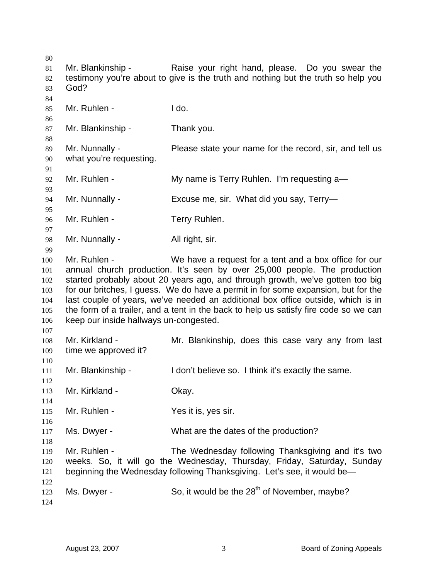Mr. Blankinship - The Raise your right hand, please. Do you swear the testimony you're about to give is the truth and nothing but the truth so help you God? Mr. Ruhlen - I do. Mr. Blankinship - Thank you. Mr. Nunnally - Please state your name for the record, sir, and tell us what you're requesting. Mr. Ruhlen - The My name is Terry Ruhlen. I'm requesting a— Mr. Nunnally - Excuse me, sir. What did you say, Terry-Mr. Ruhlen - Terry Ruhlen. Mr. Nunnally - All right, sir. Mr. Ruhlen - We have a request for a tent and a box office for our annual church production. It's seen by over 25,000 people. The production started probably about 20 years ago, and through growth, we've gotten too big for our britches, I guess. We do have a permit in for some expansion, but for the last couple of years, we've needed an additional box office outside, which is in the form of a trailer, and a tent in the back to help us satisfy fire code so we can keep our inside hallways un-congested. Mr. Kirkland - The Mr. Blankinship, does this case vary any from last time we approved it? Mr. Blankinship - The Indon't believe so. I think it's exactly the same. Mr. Kirkland - **Okay.** Mr. Ruhlen - Yes it is, yes sir. Ms. Dwyer - What are the dates of the production? Mr. Ruhlen - The Wednesday following Thanksgiving and it's two weeks. So, it will go the Wednesday, Thursday, Friday, Saturday, Sunday beginning the Wednesday following Thanksgiving. Let's see, it would be— Ms. Dwyer - So, it would be the  $28<sup>th</sup>$  of November, maybe?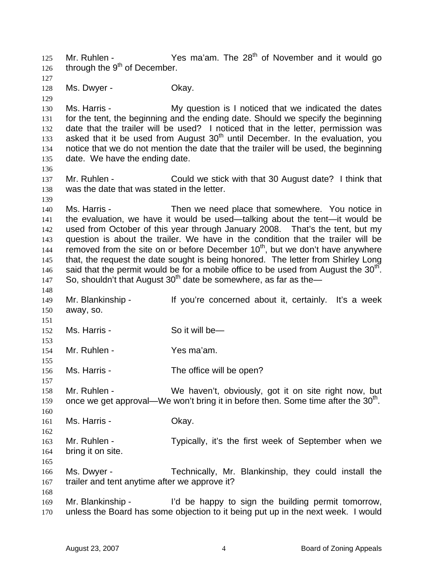Mr. Ruhlen -  $Yes$  ma'am. The  $28<sup>th</sup>$  of November and it would go through the 9<sup>th</sup> of December. 125 126 127 128 129 130 131 132 133 134 135 136 137 138 139 140 141 142 143 144 145 146 147 148 149 150 151 152 153 154 155 156 157 158 159 160 161 162 163 164 165 166 167 168 169 170 Ms. Dwyer - Chay. Ms. Harris - The My question is I noticed that we indicated the dates for the tent, the beginning and the ending date. Should we specify the beginning date that the trailer will be used? I noticed that in the letter, permission was asked that it be used from August  $30<sup>th</sup>$  until December. In the evaluation, you notice that we do not mention the date that the trailer will be used, the beginning date. We have the ending date. Mr. Ruhlen - Could we stick with that 30 August date? I think that was the date that was stated in the letter. Ms. Harris - Then we need place that somewhere. You notice in the evaluation, we have it would be used—talking about the tent—it would be used from October of this year through January 2008. That's the tent, but my question is about the trailer. We have in the condition that the trailer will be removed from the site on or before December  $10<sup>th</sup>$ , but we don't have anywhere that, the request the date sought is being honored. The letter from Shirley Long said that the permit would be for a mobile office to be used from August the  $30<sup>th</sup>$ . So, shouldn't that August  $30<sup>th</sup>$  date be somewhere, as far as the— Mr. Blankinship - If you're concerned about it, certainly. It's a week away, so. Ms. Harris - So it will be— Mr. Ruhlen - Yes ma'am. Ms. Harris - The office will be open? Mr. Ruhlen - We haven't, obviously, got it on site right now, but once we get approval—We won't bring it in before then. Some time after the  $30<sup>th</sup>$ . Ms. Harris - Chay. Mr. Ruhlen - Typically, it's the first week of September when we bring it on site. Ms. Dwyer - Technically, Mr. Blankinship, they could install the trailer and tent anytime after we approve it? Mr. Blankinship - I'd be happy to sign the building permit tomorrow, unless the Board has some objection to it being put up in the next week. I would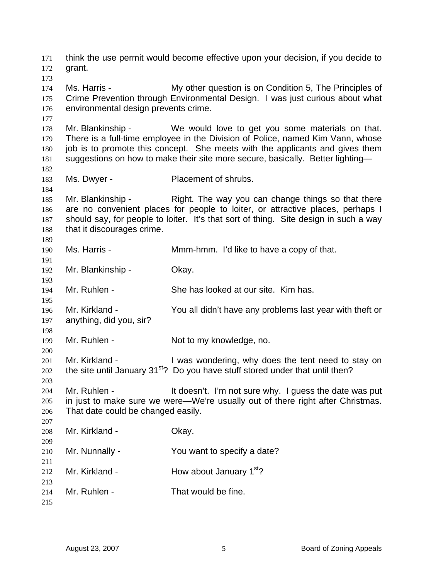think the use permit would become effective upon your decision, if you decide to grant. 171 172 173 174 175 176 177 178 179 180 181 182 183 184 185 186 187 188 189 190 191 192 193 194 195 196 197 198 199 200 201 202 203 204 205 206 207 208 209 210 211 212 213 214 215 Ms. Harris - My other question is on Condition 5, The Principles of Crime Prevention through Environmental Design. I was just curious about what environmental design prevents crime. Mr. Blankinship - We would love to get you some materials on that. There is a full-time employee in the Division of Police, named Kim Vann, whose job is to promote this concept. She meets with the applicants and gives them suggestions on how to make their site more secure, basically. Better lighting— Ms. Dwyer - Placement of shrubs. Mr. Blankinship - Right. The way you can change things so that there are no convenient places for people to loiter, or attractive places, perhaps I should say, for people to loiter. It's that sort of thing. Site design in such a way that it discourages crime. Ms. Harris - The Mmm-hmm. I'd like to have a copy of that. Mr. Blankinship - Okay. Mr. Ruhlen - She has looked at our site. Kim has. Mr. Kirkland - You all didn't have any problems last year with theft or anything, did you, sir? Mr. Ruhlen - Not to my knowledge, no. Mr. Kirkland - I was wondering, why does the tent need to stay on the site until January  $31<sup>st</sup>$ ? Do you have stuff stored under that until then? Mr. Ruhlen - It doesn't. I'm not sure why. I guess the date was put in just to make sure we were—We're usually out of there right after Christmas. That date could be changed easily. Mr. Kirkland - **Okay.** Mr. Nunnally - You want to specify a date? Mr. Kirkland -  $\mu$  How about January 1<sup>st</sup>? Mr. Ruhlen - That would be fine.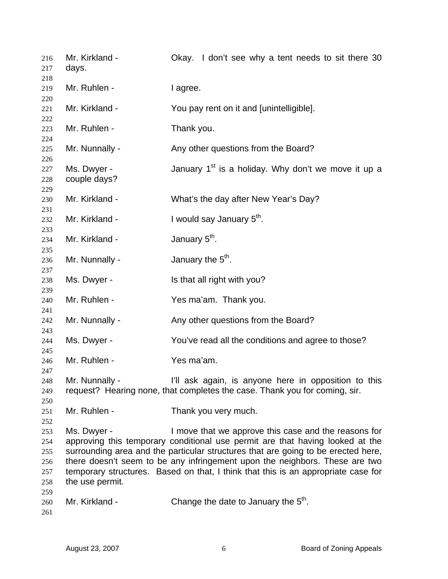| 216<br>217                                    | Mr. Kirkland -<br>days.        | Okay. I don't see why a tent needs to sit there 30                                                                                                                                                                                                                                                                                                                                             |
|-----------------------------------------------|--------------------------------|------------------------------------------------------------------------------------------------------------------------------------------------------------------------------------------------------------------------------------------------------------------------------------------------------------------------------------------------------------------------------------------------|
| 218<br>219<br>220                             | Mr. Ruhlen -                   | I agree.                                                                                                                                                                                                                                                                                                                                                                                       |
| 221<br>222                                    | Mr. Kirkland -                 | You pay rent on it and [unintelligible].                                                                                                                                                                                                                                                                                                                                                       |
| 223<br>224                                    | Mr. Ruhlen -                   | Thank you.                                                                                                                                                                                                                                                                                                                                                                                     |
| 225<br>226                                    | Mr. Nunnally -                 | Any other questions from the Board?                                                                                                                                                                                                                                                                                                                                                            |
| 227<br>228<br>229                             | Ms. Dwyer -<br>couple days?    | January 1 <sup>st</sup> is a holiday. Why don't we move it up a                                                                                                                                                                                                                                                                                                                                |
| 230<br>231                                    | Mr. Kirkland -                 | What's the day after New Year's Day?                                                                                                                                                                                                                                                                                                                                                           |
| 232<br>233                                    | Mr. Kirkland -                 | I would say January 5 <sup>th</sup> .                                                                                                                                                                                                                                                                                                                                                          |
| 234<br>235                                    | Mr. Kirkland -                 | January 5 <sup>th</sup> .                                                                                                                                                                                                                                                                                                                                                                      |
| 236<br>237                                    | Mr. Nunnally -                 | January the 5 <sup>th</sup> .                                                                                                                                                                                                                                                                                                                                                                  |
| 238<br>239                                    | Ms. Dwyer -                    | Is that all right with you?                                                                                                                                                                                                                                                                                                                                                                    |
| 240<br>241                                    | Mr. Ruhlen -                   | Yes ma'am. Thank you.                                                                                                                                                                                                                                                                                                                                                                          |
| 242<br>243                                    | Mr. Nunnally -                 | Any other questions from the Board?                                                                                                                                                                                                                                                                                                                                                            |
| 244<br>245                                    | Ms. Dwyer -                    | You've read all the conditions and agree to those?                                                                                                                                                                                                                                                                                                                                             |
| 246<br>247                                    | Mr. Ruhlen -                   | Yes ma'am.                                                                                                                                                                                                                                                                                                                                                                                     |
| 248<br>249<br>250                             | Mr. Nunnally -                 | I'll ask again, is anyone here in opposition to this<br>request? Hearing none, that completes the case. Thank you for coming, sir.                                                                                                                                                                                                                                                             |
| 251<br>252                                    | Mr. Ruhlen -                   | Thank you very much.                                                                                                                                                                                                                                                                                                                                                                           |
| 253<br>254<br>255<br>256<br>257<br>258<br>259 | Ms. Dwyer -<br>the use permit. | I move that we approve this case and the reasons for<br>approving this temporary conditional use permit are that having looked at the<br>surrounding area and the particular structures that are going to be erected here,<br>there doesn't seem to be any infringement upon the neighbors. These are two<br>temporary structures. Based on that, I think that this is an appropriate case for |
| 260<br>261                                    | Mr. Kirkland -                 | Change the date to January the 5 <sup>th</sup> .                                                                                                                                                                                                                                                                                                                                               |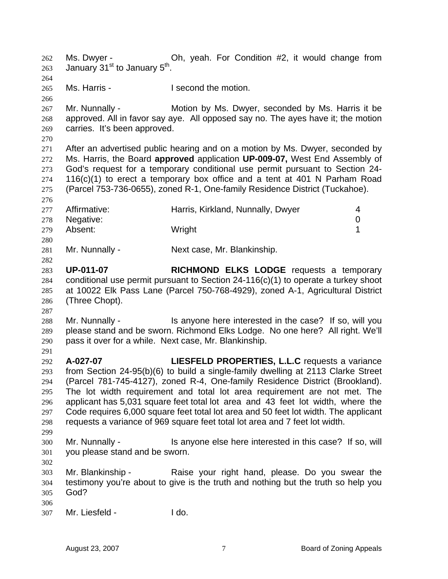Ms. Dwyer - Oh, yeah. For Condition #2, it would change from January 31<sup>st</sup> to January 5<sup>th</sup>. 262 263 264 265 266 267 268 269 270 271 272 273 274 275 276 277 278 279 280 281 282 283 284 285 286 287 288 289 290 291 292 293 294 295 296 297 298 299 300 301 302 303 304 305 306 307 Ms. Harris - The Music Head of the motion. Mr. Nunnally - **Motion by Ms. Dwyer, seconded by Ms. Harris it be** approved. All in favor say aye. All opposed say no. The ayes have it; the motion carries. It's been approved. After an advertised public hearing and on a motion by Ms. Dwyer, seconded by Ms. Harris, the Board **approved** application **UP-009-07,** West End Assembly of God's request for a temporary conditional use permit pursuant to Section 24- 116(c)(1) to erect a temporary box office and a tent at 401 N Parham Road (Parcel 753-736-0655), zoned R-1, One-family Residence District (Tuckahoe). Affirmative: **Harris, Kirkland, Nunnally, Dwyer** 4 Negative: 0 Absent: Wright 1 Mr. Nunnally - Next case, Mr. Blankinship. **UP-011-07 RICHMOND ELKS LODGE** requests a temporary conditional use permit pursuant to Section 24-116(c)(1) to operate a turkey shoot at 10022 Elk Pass Lane (Parcel 750-768-4929), zoned A-1, Agricultural District (Three Chopt). Mr. Nunnally - Is anyone here interested in the case? If so, will you please stand and be sworn. Richmond Elks Lodge. No one here? All right. We'll pass it over for a while. Next case, Mr. Blankinship. **A-027-07 LIESFELD PROPERTIES, L.L.C** requests a variance from Section 24-95(b)(6) to build a single-family dwelling at 2113 Clarke Street (Parcel 781-745-4127), zoned R-4, One-family Residence District (Brookland). The lot width requirement and total lot area requirement are not met. The applicant has 5,031 square feet total lot area and 43 feet lot width, where the Code requires 6,000 square feet total lot area and 50 feet lot width. The applicant requests a variance of 969 square feet total lot area and 7 feet lot width. Mr. Nunnally - Is anyone else here interested in this case? If so, will you please stand and be sworn. Mr. Blankinship - Raise your right hand, please. Do you swear the testimony you're about to give is the truth and nothing but the truth so help you God? Mr. Liesfeld - I do.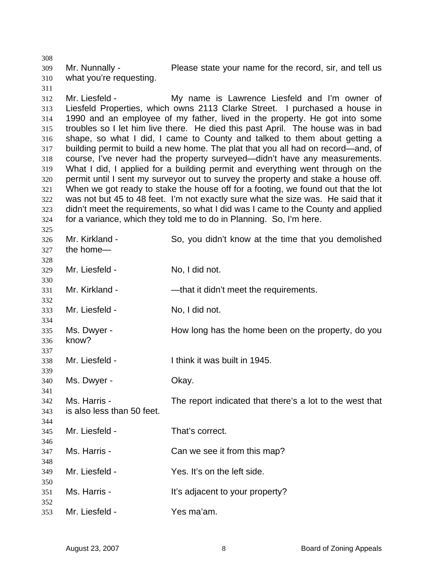309 310 Mr. Nunnally - Please state your name for the record, sir, and tell us what you're requesting.

312 313 314 315 316 317 318 319 320 321 322 323 324 Mr. Liesfeld - My name is Lawrence Liesfeld and I'm owner of Liesfeld Properties, which owns 2113 Clarke Street. I purchased a house in 1990 and an employee of my father, lived in the property. He got into some troubles so I let him live there. He died this past April. The house was in bad shape, so what I did, I came to County and talked to them about getting a building permit to build a new home. The plat that you all had on record—and, of course, I've never had the property surveyed—didn't have any measurements. What I did, I applied for a building permit and everything went through on the permit until I sent my surveyor out to survey the property and stake a house off. When we got ready to stake the house off for a footing, we found out that the lot was not but 45 to 48 feet. I'm not exactly sure what the size was. He said that it didn't meet the requirements, so what I did was I came to the County and applied for a variance, which they told me to do in Planning. So, I'm here.

326 327 328 329 330 331 332 333 334 335 336 337 338 339 340 341 342 343 344 345 346 347 348 349 350 351 352 353 Mr. Kirkland - So, you didn't know at the time that you demolished the home— Mr. Liesfeld - No, I did not. Mr. Kirkland - — — — — — that it didn't meet the requirements. Mr. Liesfeld - No. I did not. Ms. Dwyer - How long has the home been on the property, do you know? Mr. Liesfeld - Think it was built in 1945. Ms. Dwyer - Chay. Ms. Harris - The report indicated that there's a lot to the west that is also less than 50 feet. Mr. Liesfeld - That's correct. Ms. Harris - Can we see it from this map? Mr. Liesfeld - The Yes. It's on the left side. Ms. Harris - The Music Ht's adjacent to your property? Mr. Liesfeld - Yes ma'am.

308

311

325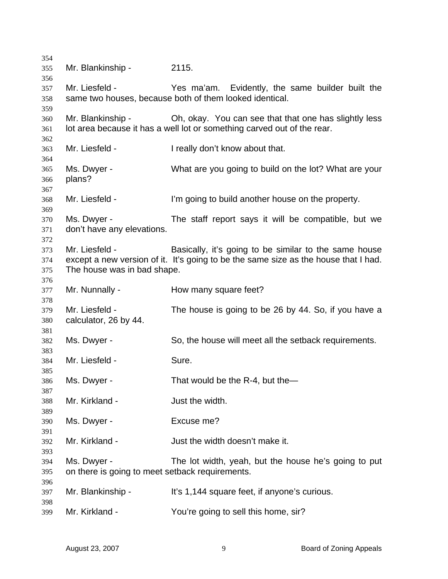Mr. Blankinship - 2115. Mr. Liesfeld - Yes ma'am. Evidently, the same builder built the same two houses, because both of them looked identical. Mr. Blankinship - Oh, okay. You can see that that one has slightly less lot area because it has a well lot or something carved out of the rear. Mr. Liesfeld - I really don't know about that. Ms. Dwyer - What are you going to build on the lot? What are your plans? Mr. Liesfeld - The lim going to build another house on the property. Ms. Dwyer - The staff report says it will be compatible, but we don't have any elevations. Mr. Liesfeld - Basically, it's going to be similar to the same house except a new version of it. It's going to be the same size as the house that I had. The house was in bad shape. Mr. Nunnally - How many square feet? Mr. Liesfeld - The house is going to be 26 by 44. So, if you have a calculator, 26 by 44. Ms. Dwyer - So, the house will meet all the setback requirements. Mr. Liesfeld - Sure. Ms. Dwyer - That would be the R-4, but the Mr. Kirkland - The width. Ms. Dwyer - Excuse me? Mr. Kirkland - The Suit the width doesn't make it. Ms. Dwyer - The lot width, yeah, but the house he's going to put on there is going to meet setback requirements. Mr. Blankinship - It's 1,144 square feet, if anyone's curious. Mr. Kirkland - You're going to sell this home, sir?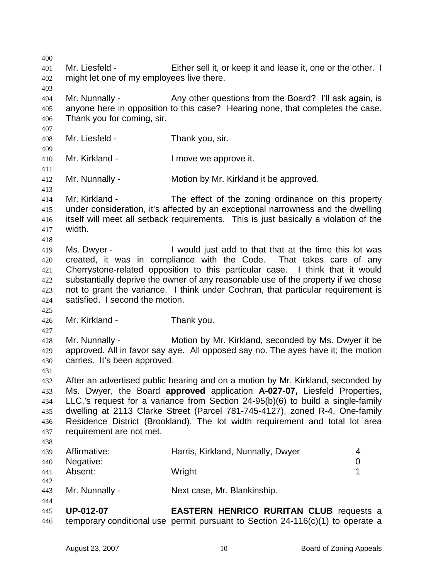400 401 402 403 404 405 406 407 408 409 410 411 412 413 414 415 416 417 418 419 420 421 422 423 424 425 426 427 428 429 430 431 432 433 434 435 436 437 438 439 440 441 442 443 444 445 446 Mr. Liesfeld - Either sell it, or keep it and lease it, one or the other. I might let one of my employees live there. Mr. Nunnally - Any other questions from the Board? I'll ask again, is anyone here in opposition to this case? Hearing none, that completes the case. Thank you for coming, sir. Mr. Liesfeld - Thank you, sir. Mr. Kirkland - The Music Conservation I move we approve it. Mr. Nunnally - Motion by Mr. Kirkland it be approved. Mr. Kirkland - The effect of the zoning ordinance on this property under consideration, it's affected by an exceptional narrowness and the dwelling itself will meet all setback requirements. This is just basically a violation of the width. Ms. Dwyer - I would just add to that that at the time this lot was created, it was in compliance with the Code. That takes care of any Cherrystone-related opposition to this particular case. I think that it would substantially deprive the owner of any reasonable use of the property if we chose not to grant the variance. I think under Cochran, that particular requirement is satisfied. I second the motion. Mr. Kirkland - Thank you. Mr. Nunnally - Motion by Mr. Kirkland, seconded by Ms. Dwyer it be approved. All in favor say aye. All opposed say no. The ayes have it; the motion carries. It's been approved. After an advertised public hearing and on a motion by Mr. Kirkland, seconded by Ms. Dwyer, the Board **approved** application **A-027-07,** Liesfeld Properties, LLC,'s request for a variance from Section 24-95(b)(6) to build a single-family dwelling at 2113 Clarke Street (Parcel 781-745-4127), zoned R-4, One-family Residence District (Brookland). The lot width requirement and total lot area requirement are not met. Affirmative: Harris, Kirkland, Nunnally, Dwyer 4 Negative: 0 Absent: 1 Mr. Nunnally - Next case, Mr. Blankinship. **UP-012-07 EASTERN HENRICO RURITAN CLUB** requests a temporary conditional use permit pursuant to Section 24-116(c)(1) to operate a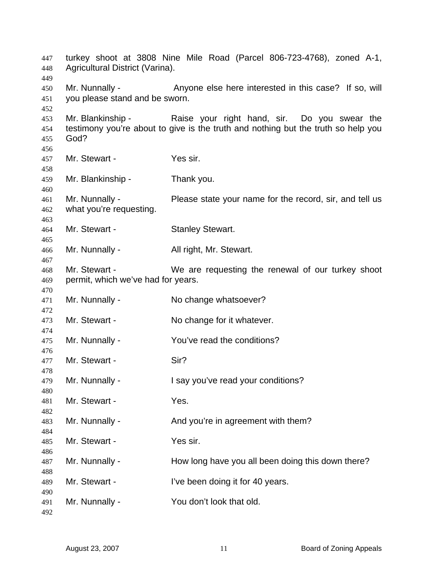turkey shoot at 3808 Nine Mile Road (Parcel 806-723-4768), zoned A-1, Agricultural District (Varina). Mr. Nunnally - Anyone else here interested in this case? If so, will you please stand and be sworn. Mr. Blankinship - Raise your right hand, sir. Do you swear the testimony you're about to give is the truth and nothing but the truth so help you God? Mr. Stewart - Yes sir. Mr. Blankinship - Thank you. Mr. Nunnally - Please state your name for the record, sir, and tell us what you're requesting. Mr. Stewart - Stanley Stewart. Mr. Nunnally - All right, Mr. Stewart. Mr. Stewart - We are requesting the renewal of our turkey shoot permit, which we've had for years. Mr. Nunnally - No change whatsoever? Mr. Stewart - No change for it whatever. Mr. Nunnally - You've read the conditions? Mr. Stewart - Sir? Mr. Nunnally - I say you've read your conditions? Mr. Stewart - Yes. Mr. Nunnally - And you're in agreement with them? Mr. Stewart - Yes sir. Mr. Nunnally - How long have you all been doing this down there? Mr. Stewart - **I've been doing it for 40 years.** Mr. Nunnally - You don't look that old.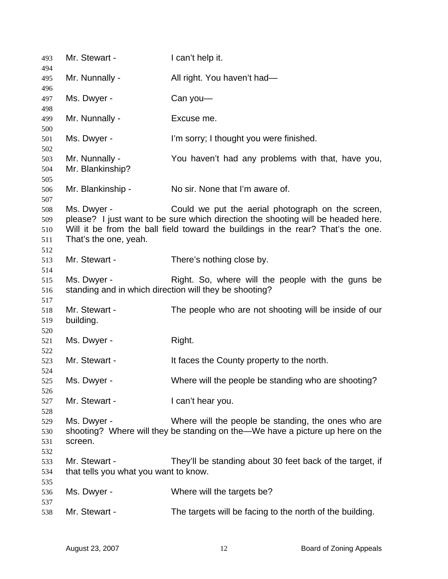| 493        | Mr. Stewart -                         | I can't help it.                                                                 |
|------------|---------------------------------------|----------------------------------------------------------------------------------|
| 494<br>495 | Mr. Nunnally -                        | All right. You haven't had-                                                      |
| 496        |                                       |                                                                                  |
| 497<br>498 | Ms. Dwyer -                           | Can you- $-$                                                                     |
| 499        | Mr. Nunnally -                        | Excuse me.                                                                       |
| 500        |                                       |                                                                                  |
| 501        | Ms. Dwyer -                           | I'm sorry; I thought you were finished.                                          |
| 502        |                                       |                                                                                  |
| 503        | Mr. Nunnally -                        | You haven't had any problems with that, have you,                                |
| 504        | Mr. Blankinship?                      |                                                                                  |
| 505<br>506 | Mr. Blankinship -                     | No sir. None that I'm aware of.                                                  |
| 507        |                                       |                                                                                  |
| 508        | Ms. Dwyer -                           | Could we put the aerial photograph on the screen,                                |
| 509        |                                       | please? I just want to be sure which direction the shooting will be headed here. |
| 510        |                                       | Will it be from the ball field toward the buildings in the rear? That's the one. |
| 511        | That's the one, yeah.                 |                                                                                  |
| 512        |                                       |                                                                                  |
| 513        | Mr. Stewart -                         | There's nothing close by.                                                        |
| 514        |                                       |                                                                                  |
| 515        | Ms. Dwyer -                           | Right. So, where will the people with the guns be                                |
| 516        |                                       | standing and in which direction will they be shooting?                           |
| 517        |                                       |                                                                                  |
| 518        | Mr. Stewart -                         | The people who are not shooting will be inside of our                            |
| 519        | building.                             |                                                                                  |
| 520        |                                       |                                                                                  |
| 521        | Ms. Dwyer -                           | Right.                                                                           |
| 522        |                                       |                                                                                  |
| 523        | Mr. Stewart -                         | It faces the County property to the north.                                       |
| 524        |                                       |                                                                                  |
| 525        | Ms. Dwyer -                           | Where will the people be standing who are shooting?                              |
| 526        |                                       |                                                                                  |
| 527        | Mr. Stewart -                         | I can't hear you.                                                                |
| 528        |                                       |                                                                                  |
| 529        | Ms. Dwyer -                           | Where will the people be standing, the ones who are                              |
| 530        |                                       | shooting? Where will they be standing on the-We have a picture up here on the    |
|            | screen.                               |                                                                                  |
| 531        |                                       |                                                                                  |
| 532        |                                       |                                                                                  |
| 533        | Mr. Stewart -                         | They'll be standing about 30 feet back of the target, if                         |
| 534        | that tells you what you want to know. |                                                                                  |
| 535        |                                       |                                                                                  |
| 536        | Ms. Dwyer -                           | Where will the targets be?                                                       |
| 537        |                                       |                                                                                  |
| 538        | Mr. Stewart -                         | The targets will be facing to the north of the building.                         |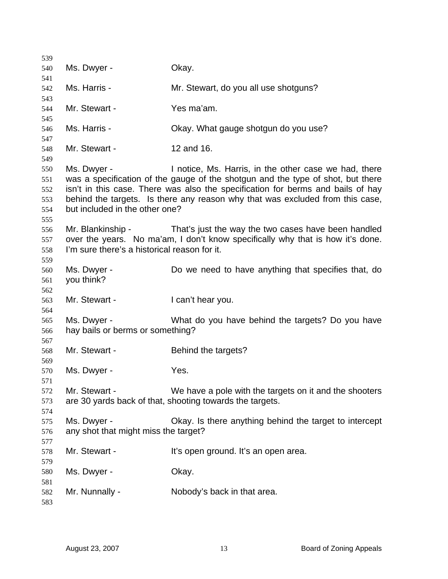Ms. Dwyer - Chay. Ms. Harris - **Mr. Stewart, do you all use shotguns?** Mr. Stewart - Yes ma'am. Ms. Harris - Ckay. What gauge shotgun do you use? Mr. Stewart - 12 and 16. Ms. Dwyer - Inotice, Ms. Harris, in the other case we had, there was a specification of the gauge of the shotgun and the type of shot, but there isn't in this case. There was also the specification for berms and bails of hay behind the targets. Is there any reason why that was excluded from this case, but included in the other one? Mr. Blankinship - That's just the way the two cases have been handled over the years. No ma'am, I don't know specifically why that is how it's done. I'm sure there's a historical reason for it. Ms. Dwyer - Do we need to have anything that specifies that, do you think? Mr. Stewart - The Lean't hear you. Ms. Dwyer - What do you have behind the targets? Do you have hay bails or berms or something? Mr. Stewart - Behind the targets? Ms. Dwyer - Yes. Mr. Stewart - We have a pole with the targets on it and the shooters are 30 yards back of that, shooting towards the targets. Ms. Dwyer - Chay. Is there anything behind the target to intercept any shot that might miss the target? Mr. Stewart - It's open ground. It's an open area. Ms. Dwyer - Chay. Mr. Nunnally - Nobody's back in that area.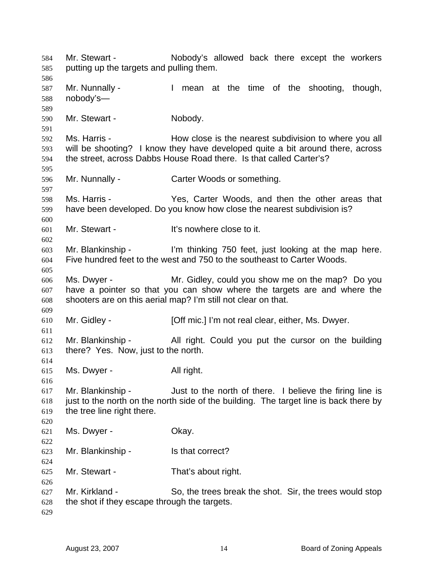Mr. Stewart - The Nobody's allowed back there except the workers putting up the targets and pulling them. Mr. Nunnally - The Mean at the time of the shooting, though, nobody's— Mr. Stewart - Nobody. Ms. Harris - The How close is the nearest subdivision to where you all will be shooting? I know they have developed quite a bit around there, across the street, across Dabbs House Road there. Is that called Carter's? Mr. Nunnally - Carter Woods or something. Ms. Harris - Yes, Carter Woods, and then the other areas that have been developed. Do you know how close the nearest subdivision is? Mr. Stewart - The Muslim Lit's nowhere close to it. Mr. Blankinship - I'm thinking 750 feet, just looking at the map here. Five hundred feet to the west and 750 to the southeast to Carter Woods. Ms. Dwyer - Mr. Gidley, could you show me on the map? Do you have a pointer so that you can show where the targets are and where the shooters are on this aerial map? I'm still not clear on that. Mr. Gidley - **[Off mic.]** I'm not real clear, either, Ms. Dwyer. Mr. Blankinship - All right. Could you put the cursor on the building there? Yes. Now, just to the north. Ms. Dwyer - All right. Mr. Blankinship - Just to the north of there. I believe the firing line is just to the north on the north side of the building. The target line is back there by the tree line right there. Ms. Dwyer - Chay. Mr. Blankinship - Is that correct? Mr. Stewart - That's about right. Mr. Kirkland - So, the trees break the shot. Sir, the trees would stop the shot if they escape through the targets.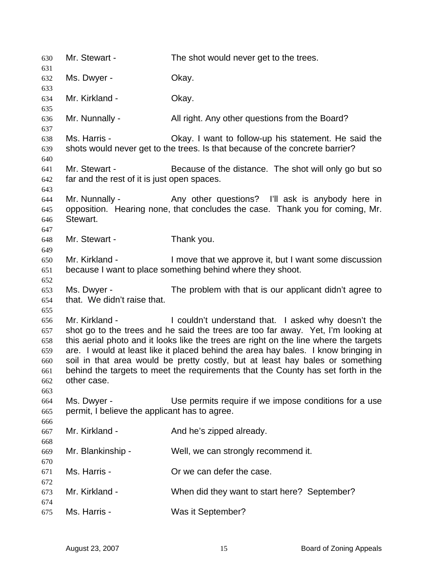| 630                                                  | Mr. Stewart -                                                | The shot would never get to the trees.                                                                                                                                                                                                                                                                                                                                                                                                                                                      |
|------------------------------------------------------|--------------------------------------------------------------|---------------------------------------------------------------------------------------------------------------------------------------------------------------------------------------------------------------------------------------------------------------------------------------------------------------------------------------------------------------------------------------------------------------------------------------------------------------------------------------------|
| 631<br>632                                           | Ms. Dwyer -                                                  | Okay.                                                                                                                                                                                                                                                                                                                                                                                                                                                                                       |
| 633                                                  |                                                              |                                                                                                                                                                                                                                                                                                                                                                                                                                                                                             |
| 634                                                  | Mr. Kirkland -                                               | Okay.                                                                                                                                                                                                                                                                                                                                                                                                                                                                                       |
| 635                                                  |                                                              |                                                                                                                                                                                                                                                                                                                                                                                                                                                                                             |
| 636                                                  | Mr. Nunnally -                                               | All right. Any other questions from the Board?                                                                                                                                                                                                                                                                                                                                                                                                                                              |
| 637                                                  |                                                              |                                                                                                                                                                                                                                                                                                                                                                                                                                                                                             |
| 638<br>639                                           | Ms. Harris -                                                 | Okay. I want to follow-up his statement. He said the<br>shots would never get to the trees. Is that because of the concrete barrier?                                                                                                                                                                                                                                                                                                                                                        |
| 640<br>641<br>642                                    | Mr. Stewart -<br>far and the rest of it is just open spaces. | Because of the distance. The shot will only go but so                                                                                                                                                                                                                                                                                                                                                                                                                                       |
| 643<br>644<br>645<br>646<br>647                      | Mr. Nunnally -<br>Stewart.                                   | Any other questions? I'll ask is anybody here in<br>opposition. Hearing none, that concludes the case. Thank you for coming, Mr.                                                                                                                                                                                                                                                                                                                                                            |
| 648                                                  | Mr. Stewart -                                                | Thank you.                                                                                                                                                                                                                                                                                                                                                                                                                                                                                  |
| 649                                                  |                                                              |                                                                                                                                                                                                                                                                                                                                                                                                                                                                                             |
| 650                                                  | Mr. Kirkland -                                               | I move that we approve it, but I want some discussion                                                                                                                                                                                                                                                                                                                                                                                                                                       |
| 651                                                  |                                                              | because I want to place something behind where they shoot.                                                                                                                                                                                                                                                                                                                                                                                                                                  |
| 652                                                  |                                                              |                                                                                                                                                                                                                                                                                                                                                                                                                                                                                             |
| 653<br>654                                           | Ms. Dwyer -<br>that. We didn't raise that.                   | The problem with that is our applicant didn't agree to                                                                                                                                                                                                                                                                                                                                                                                                                                      |
| 655                                                  |                                                              |                                                                                                                                                                                                                                                                                                                                                                                                                                                                                             |
| 656<br>657<br>658<br>659<br>660<br>661<br>662<br>663 | Mr. Kirkland -<br>other case.                                | I couldn't understand that. I asked why doesn't the<br>shot go to the trees and he said the trees are too far away. Yet, I'm looking at<br>this aerial photo and it looks like the trees are right on the line where the targets<br>are. I would at least like it placed behind the area hay bales. I know bringing in<br>soil in that area would be pretty costly, but at least hay bales or something<br>behind the targets to meet the requirements that the County has set forth in the |
| 664<br>665<br>666                                    | Ms. Dwyer -<br>permit, I believe the applicant has to agree. | Use permits require if we impose conditions for a use                                                                                                                                                                                                                                                                                                                                                                                                                                       |
| 667<br>668                                           | Mr. Kirkland -                                               | And he's zipped already.                                                                                                                                                                                                                                                                                                                                                                                                                                                                    |
| 669<br>670                                           | Mr. Blankinship -                                            | Well, we can strongly recommend it.                                                                                                                                                                                                                                                                                                                                                                                                                                                         |
| 671<br>672                                           | Ms. Harris -                                                 | Or we can defer the case.                                                                                                                                                                                                                                                                                                                                                                                                                                                                   |
| 673<br>674                                           | Mr. Kirkland -                                               | When did they want to start here? September?                                                                                                                                                                                                                                                                                                                                                                                                                                                |
| 675                                                  | Ms. Harris -                                                 | Was it September?                                                                                                                                                                                                                                                                                                                                                                                                                                                                           |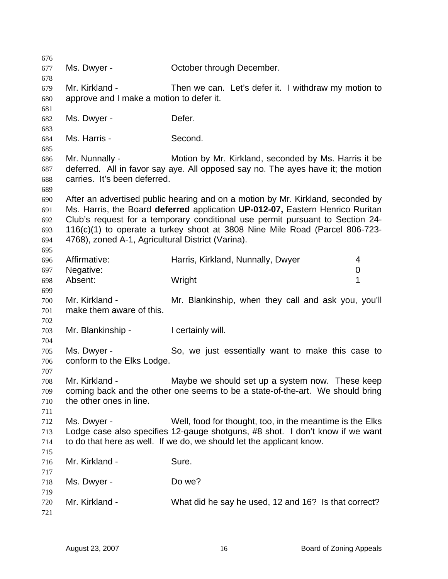| 676 |                                                   |                                                                                  |
|-----|---------------------------------------------------|----------------------------------------------------------------------------------|
| 677 | Ms. Dwyer -                                       | October through December.                                                        |
| 678 |                                                   |                                                                                  |
| 679 | Mr. Kirkland -                                    | Then we can. Let's defer it. I withdraw my motion to                             |
| 680 | approve and I make a motion to defer it.          |                                                                                  |
| 681 |                                                   |                                                                                  |
| 682 | Ms. Dwyer -                                       | Defer.                                                                           |
| 683 |                                                   |                                                                                  |
| 684 | Ms. Harris -                                      | Second.                                                                          |
| 685 |                                                   |                                                                                  |
| 686 | Mr. Nunnally -                                    | Motion by Mr. Kirkland, seconded by Ms. Harris it be                             |
| 687 |                                                   | deferred. All in favor say aye. All opposed say no. The ayes have it; the motion |
| 688 | carries. It's been deferred.                      |                                                                                  |
| 689 |                                                   |                                                                                  |
| 690 |                                                   | After an advertised public hearing and on a motion by Mr. Kirkland, seconded by  |
|     |                                                   | Ms. Harris, the Board deferred application UP-012-07, Eastern Henrico Ruritan    |
| 691 |                                                   |                                                                                  |
| 692 |                                                   | Club's request for a temporary conditional use permit pursuant to Section 24-    |
| 693 |                                                   | 116(c)(1) to operate a turkey shoot at 3808 Nine Mile Road (Parcel 806-723-      |
| 694 | 4768), zoned A-1, Agricultural District (Varina). |                                                                                  |
| 695 |                                                   |                                                                                  |
| 696 | Affirmative:                                      | Harris, Kirkland, Nunnally, Dwyer<br>4                                           |
| 697 | Negative:                                         | 0                                                                                |
| 698 | Absent:                                           | 1<br>Wright                                                                      |
| 699 |                                                   |                                                                                  |
| 700 | Mr. Kirkland -                                    | Mr. Blankinship, when they call and ask you, you'll                              |
| 701 | make them aware of this.                          |                                                                                  |
| 702 |                                                   |                                                                                  |
| 703 | Mr. Blankinship -                                 | I certainly will.                                                                |
| 704 |                                                   |                                                                                  |
| 705 | Ms. Dwyer -                                       | So, we just essentially want to make this case to                                |
| 706 | conform to the Elks Lodge.                        |                                                                                  |
| 707 |                                                   |                                                                                  |
| 708 | Mr. Kirkland -                                    | Maybe we should set up a system now. These keep                                  |
| 709 |                                                   | coming back and the other one seems to be a state-of-the-art. We should bring    |
| 710 | the other ones in line.                           |                                                                                  |
| 711 |                                                   |                                                                                  |
| 712 | Ms. Dwyer -                                       | Well, food for thought, too, in the meantime is the Elks                         |
| 713 |                                                   | Lodge case also specifies 12-gauge shotguns, #8 shot. I don't know if we want    |
| 714 |                                                   | to do that here as well. If we do, we should let the applicant know.             |
| 715 |                                                   |                                                                                  |
| 716 | Mr. Kirkland -                                    | Sure.                                                                            |
| 717 |                                                   |                                                                                  |
| 718 | Ms. Dwyer -                                       | Do we?                                                                           |
| 719 |                                                   |                                                                                  |
| 720 | Mr. Kirkland -                                    | What did he say he used, 12 and 16? Is that correct?                             |
| 721 |                                                   |                                                                                  |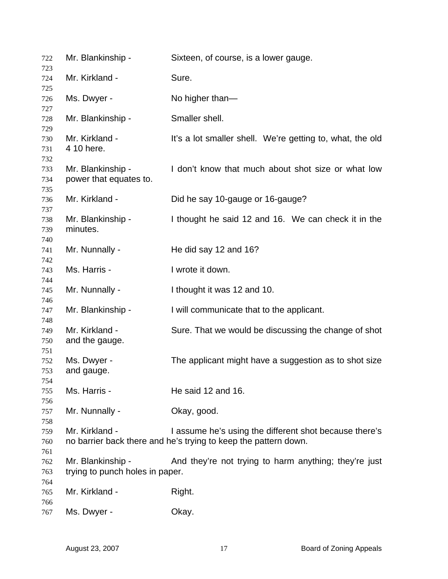| 722        | Mr. Blankinship -                                    | Sixteen, of course, is a lower gauge.                           |
|------------|------------------------------------------------------|-----------------------------------------------------------------|
| 723<br>724 | Mr. Kirkland -                                       | Sure.                                                           |
| 725        |                                                      |                                                                 |
| 726        | Ms. Dwyer -                                          | No higher than-                                                 |
| 727        |                                                      |                                                                 |
| 728<br>729 | Mr. Blankinship -                                    | Smaller shell.                                                  |
| 730        | Mr. Kirkland -                                       | It's a lot smaller shell. We're getting to, what, the old       |
| 731        | 4 10 here.                                           |                                                                 |
| 732        |                                                      |                                                                 |
| 733        | Mr. Blankinship -                                    | I don't know that much about shot size or what low              |
| 734        | power that equates to.                               |                                                                 |
| 735        |                                                      |                                                                 |
| 736<br>737 | Mr. Kirkland -                                       | Did he say 10-gauge or 16-gauge?                                |
| 738        | Mr. Blankinship -                                    | I thought he said 12 and 16. We can check it in the             |
| 739        | minutes.                                             |                                                                 |
| 740        |                                                      |                                                                 |
| 741        | Mr. Nunnally -                                       | He did say 12 and 16?                                           |
| 742        |                                                      |                                                                 |
| 743        | Ms. Harris -                                         | I wrote it down.                                                |
| 744        |                                                      |                                                                 |
| 745<br>746 | Mr. Nunnally -                                       | I thought it was 12 and 10.                                     |
| 747        | Mr. Blankinship -                                    | I will communicate that to the applicant.                       |
| 748        |                                                      |                                                                 |
| 749        | Mr. Kirkland -                                       | Sure. That we would be discussing the change of shot            |
| 750        | and the gauge.                                       |                                                                 |
| 751        |                                                      |                                                                 |
| 752        | Ms. Dwyer -                                          | The applicant might have a suggestion as to shot size           |
| 753<br>754 | and gauge.                                           |                                                                 |
| 755        | Ms. Harris -                                         | He said 12 and 16.                                              |
| 756        |                                                      |                                                                 |
| 757        | Mr. Nunnally -                                       | Okay, good.                                                     |
| 758        |                                                      |                                                                 |
| 759        | Mr. Kirkland -                                       | I assume he's using the different shot because there's          |
| 760        |                                                      | no barrier back there and he's trying to keep the pattern down. |
| 761        |                                                      |                                                                 |
| 762<br>763 | Mr. Blankinship -<br>trying to punch holes in paper. | And they're not trying to harm anything; they're just           |
| 764        |                                                      |                                                                 |
| 765        | Mr. Kirkland -                                       | Right.                                                          |
| 766        |                                                      |                                                                 |
| 767        | Ms. Dwyer -                                          | Okay.                                                           |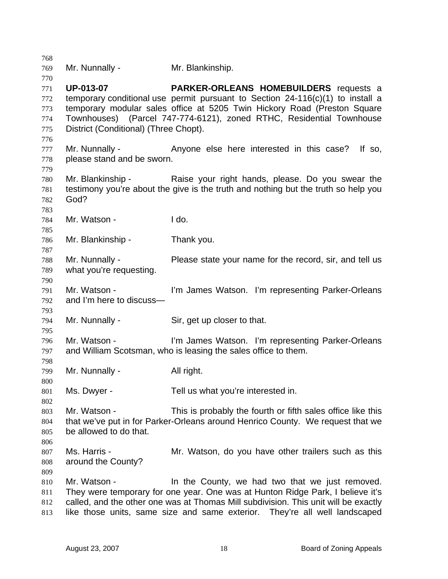| 768 |                                       |                                                                                     |
|-----|---------------------------------------|-------------------------------------------------------------------------------------|
| 769 | Mr. Nunnally -                        | Mr. Blankinship.                                                                    |
| 770 |                                       |                                                                                     |
| 771 | <b>UP-013-07</b>                      | <b>PARKER-ORLEANS HOMEBUILDERS</b> requests a                                       |
| 772 |                                       | temporary conditional use permit pursuant to Section $24-116(c)(1)$ to install a    |
| 773 |                                       | temporary modular sales office at 5205 Twin Hickory Road (Preston Square            |
| 774 |                                       | Townhouses) (Parcel 747-774-6121), zoned RTHC, Residential Townhouse                |
| 775 | District (Conditional) (Three Chopt). |                                                                                     |
| 776 |                                       |                                                                                     |
| 777 |                                       | Mr. Nunnally - Anyone else here interested in this case? If so,                     |
| 778 | please stand and be sworn.            |                                                                                     |
| 779 |                                       |                                                                                     |
| 780 |                                       | Mr. Blankinship - Raise your right hands, please. Do you swear the                  |
| 781 |                                       | testimony you're about the give is the truth and nothing but the truth so help you  |
| 782 | God?                                  |                                                                                     |
| 783 |                                       |                                                                                     |
| 784 | Mr. Watson -                          | I do.                                                                               |
| 785 |                                       |                                                                                     |
| 786 | Mr. Blankinship -                     | Thank you.                                                                          |
| 787 |                                       |                                                                                     |
| 788 | Mr. Nunnally -                        | Please state your name for the record, sir, and tell us                             |
| 789 | what you're requesting.               |                                                                                     |
| 790 |                                       |                                                                                     |
| 791 | Mr. Watson -                          | I'm James Watson. I'm representing Parker-Orleans                                   |
| 792 | and I'm here to discuss-              |                                                                                     |
| 793 |                                       |                                                                                     |
| 794 | Mr. Nunnally -                        | Sir, get up closer to that.                                                         |
| 795 |                                       |                                                                                     |
| 796 | Mr. Watson -                          | I'm James Watson. I'm representing Parker-Orleans                                   |
| 797 |                                       | and William Scotsman, who is leasing the sales office to them.                      |
| 798 |                                       |                                                                                     |
| 799 | Mr. Nunnally -                        | All right.                                                                          |
| 800 |                                       |                                                                                     |
| 801 | Ms. Dwyer -                           | Tell us what you're interested in.                                                  |
| 802 |                                       |                                                                                     |
| 803 | Mr. Watson -                          | This is probably the fourth or fifth sales office like this                         |
| 804 |                                       | that we've put in for Parker-Orleans around Henrico County. We request that we      |
| 805 | be allowed to do that.                |                                                                                     |
| 806 |                                       |                                                                                     |
| 807 | Ms. Harris -                          | Mr. Watson, do you have other trailers such as this                                 |
| 808 | around the County?                    |                                                                                     |
| 809 |                                       |                                                                                     |
| 810 | Mr. Watson -                          | In the County, we had two that we just removed.                                     |
| 811 |                                       | They were temporary for one year. One was at Hunton Ridge Park, I believe it's      |
| 812 |                                       | called, and the other one was at Thomas Mill subdivision. This unit will be exactly |
| 813 |                                       | like those units, same size and same exterior. They're all well landscaped          |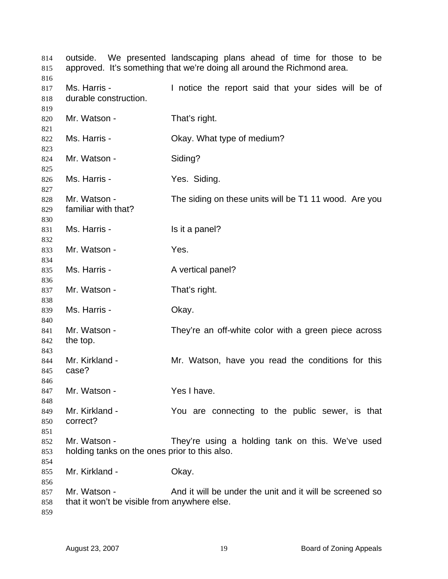outside. We presented landscaping plans ahead of time for those to be approved. It's something that we're doing all around the Richmond area. Ms. Harris - The Musical the report said that your sides will be of durable construction. Mr. Watson - That's right. Ms. Harris - Ckay. What type of medium? Mr. Watson - Siding? Ms. Harris - The Yes. Siding. Mr. Watson - The siding on these units will be T1 11 wood. Are you familiar with that? Ms. Harris - Is it a panel? Mr. Watson - Yes. Ms. Harris - A vertical panel? Mr. Watson - That's right. Ms. Harris - Chay. Mr. Watson - They're an off-white color with a green piece across the top. Mr. Kirkland - The Mr. Watson, have you read the conditions for this case? Mr. Watson - Yes I have. Mr. Kirkland - The You are connecting to the public sewer, is that correct? Mr. Watson - They're using a holding tank on this. We've used holding tanks on the ones prior to this also. Mr. Kirkland - **Okay.** Mr. Watson - And it will be under the unit and it will be screened so that it won't be visible from anywhere else.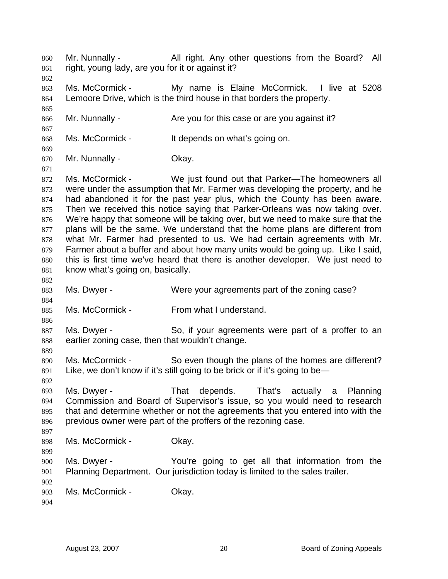Mr. Nunnally - All right. Any other questions from the Board? All right, young lady, are you for it or against it? 860 861 862 863 864 865 866 867 868 869 870 871 872 873 874 875 876 877 878 879 880 881 882 883 884 885 886 887 888 889 890 891 892 893 894 895 896 897 898 899 900 901 902 903 904 Ms. McCormick - My name is Elaine McCormick. I live at 5208 Lemoore Drive, which is the third house in that borders the property. Mr. Nunnally - Are you for this case or are you against it? Ms. McCormick - It depends on what's going on. Mr. Nunnally - Ckay. Ms. McCormick - We just found out that Parker—The homeowners all were under the assumption that Mr. Farmer was developing the property, and he had abandoned it for the past year plus, which the County has been aware. Then we received this notice saying that Parker-Orleans was now taking over. We're happy that someone will be taking over, but we need to make sure that the plans will be the same. We understand that the home plans are different from what Mr. Farmer had presented to us. We had certain agreements with Mr. Farmer about a buffer and about how many units would be going up. Like I said, this is first time we've heard that there is another developer. We just need to know what's going on, basically. Ms. Dwyer - Were your agreements part of the zoning case? Ms. McCormick - From what I understand. Ms. Dwyer - So, if your agreements were part of a proffer to an earlier zoning case, then that wouldn't change. Ms. McCormick - So even though the plans of the homes are different? Like, we don't know if it's still going to be brick or if it's going to be— Ms. Dwyer - That depends. That's actually a Planning Commission and Board of Supervisor's issue, so you would need to research that and determine whether or not the agreements that you entered into with the previous owner were part of the proffers of the rezoning case. Ms. McCormick - Okay. Ms. Dwyer - You're going to get all that information from the Planning Department. Our jurisdiction today is limited to the sales trailer. Ms. McCormick - Okay.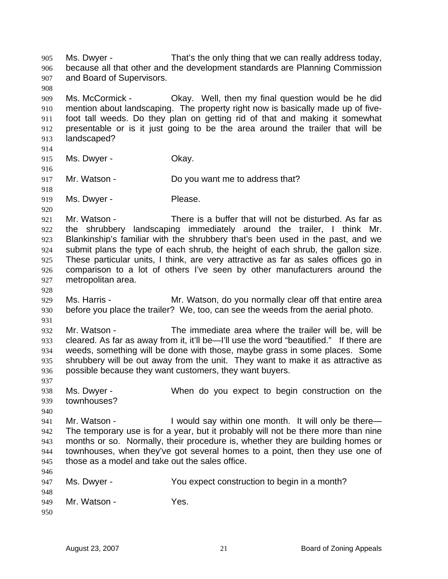Ms. Dwyer - That's the only thing that we can really address today, because all that other and the development standards are Planning Commission and Board of Supervisors. 905 906 907 908 909 910 911 912 913 914 915 916 917 918 919 920 921 922 923 924 925 926 927 928 929 930 931 932 933 934 935 936 937 938 939 940 941 942 943 944 945 946 947 948 949 950 Ms. McCormick - Okay. Well, then my final question would be he did mention about landscaping. The property right now is basically made up of fivefoot tall weeds. Do they plan on getting rid of that and making it somewhat presentable or is it just going to be the area around the trailer that will be landscaped? Ms. Dwyer - Chay. Mr. Watson - Do you want me to address that? Ms. Dwyer - Please. Mr. Watson - There is a buffer that will not be disturbed. As far as the shrubbery landscaping immediately around the trailer, I think Mr. Blankinship's familiar with the shrubbery that's been used in the past, and we submit plans the type of each shrub, the height of each shrub, the gallon size. These particular units, I think, are very attractive as far as sales offices go in comparison to a lot of others I've seen by other manufacturers around the metropolitan area. Ms. Harris - **Mr. Watson, do you normally clear off that entire area** before you place the trailer? We, too, can see the weeds from the aerial photo. Mr. Watson - The immediate area where the trailer will be, will be cleared. As far as away from it, it'll be—I'll use the word "beautified." If there are weeds, something will be done with those, maybe grass in some places. Some shrubbery will be out away from the unit. They want to make it as attractive as possible because they want customers, they want buyers. Ms. Dwyer - When do you expect to begin construction on the townhouses? Mr. Watson - I would say within one month. It will only be there— The temporary use is for a year, but it probably will not be there more than nine months or so. Normally, their procedure is, whether they are building homes or townhouses, when they've got several homes to a point, then they use one of those as a model and take out the sales office. Ms. Dwyer - You expect construction to begin in a month? Mr. Watson - Yes.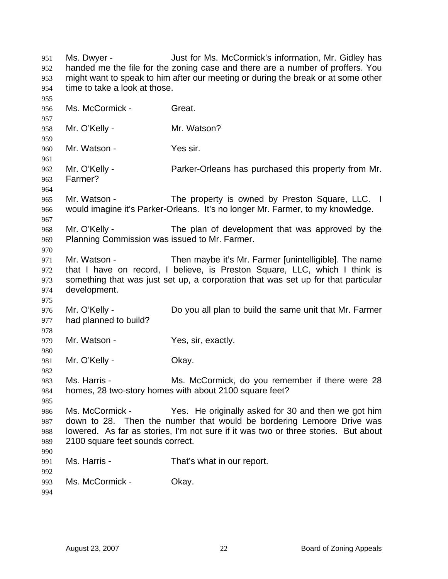Ms. Dwyer - Just for Ms. McCormick's information, Mr. Gidley has handed me the file for the zoning case and there are a number of proffers. You might want to speak to him after our meeting or during the break or at some other time to take a look at those. 951 952 953 954 955 956 957 958 959 960 961 962 963 964 965 966 967 968 969 970 971 972 973 974 975 976 977 978 979 980 981 982 983 984 985 986 987 988 989 990 991 992 993 994 Ms. McCormick - Great. Mr. O'Kelly - Mr. Watson? Mr. Watson - Yes sir. Mr. O'Kelly - Parker-Orleans has purchased this property from Mr. Farmer? Mr. Watson - The property is owned by Preston Square, LLC. I would imagine it's Parker-Orleans. It's no longer Mr. Farmer, to my knowledge. Mr. O'Kelly - The plan of development that was approved by the Planning Commission was issued to Mr. Farmer. Mr. Watson - Then maybe it's Mr. Farmer [unintelligible]. The name that I have on record, I believe, is Preston Square, LLC, which I think is something that was just set up, a corporation that was set up for that particular development. Mr. O'Kelly - Do you all plan to build the same unit that Mr. Farmer had planned to build? Mr. Watson - Yes, sir, exactly. Mr. O'Kelly - Chay. Ms. Harris - Ms. McCormick, do you remember if there were 28 homes, 28 two-story homes with about 2100 square feet? Ms. McCormick - Yes. He originally asked for 30 and then we got him down to 28. Then the number that would be bordering Lemoore Drive was lowered. As far as stories, I'm not sure if it was two or three stories. But about 2100 square feet sounds correct. Ms. Harris - That's what in our report. Ms. McCormick - Chay.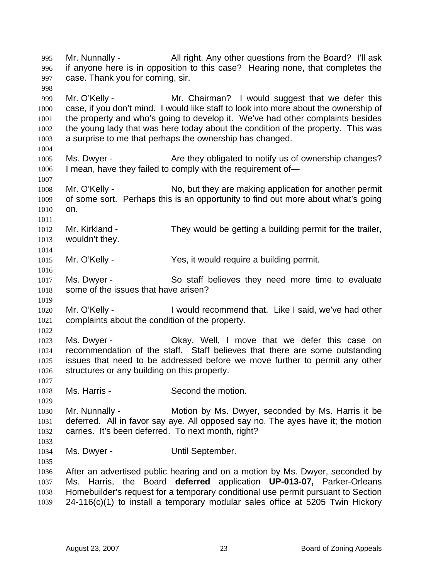Mr. Nunnally - All right. Any other questions from the Board? I'll ask if anyone here is in opposition to this case? Hearing none, that completes the case. Thank you for coming, sir. 995 996 997 998 999 1000 1001 1002 1003 1004 1005 1006 1007 1008 1009 1010 1011 1012 1013 1014 1015 1016 1017 1018 1019 1020 1021 1022 1023 1024 1025 1026 1027 1028 1029 1030 1031 1032 1033 1034 1035 1036 1037 1038 1039 Mr. O'Kelly - Mr. Chairman? I would suggest that we defer this case, if you don't mind. I would like staff to look into more about the ownership of the property and who's going to develop it. We've had other complaints besides the young lady that was here today about the condition of the property. This was a surprise to me that perhaps the ownership has changed. Ms. Dwyer - The Are they obligated to notify us of ownership changes? I mean, have they failed to comply with the requirement of— Mr. O'Kelly - No, but they are making application for another permit of some sort. Perhaps this is an opportunity to find out more about what's going on. Mr. Kirkland - They would be getting a building permit for the trailer, wouldn't they. Mr. O'Kelly - Yes, it would require a building permit. Ms. Dwyer - So staff believes they need more time to evaluate some of the issues that have arisen? Mr. O'Kelly - I would recommend that. Like I said, we've had other complaints about the condition of the property. Ms. Dwyer - Okay. Well, I move that we defer this case on recommendation of the staff. Staff believes that there are some outstanding issues that need to be addressed before we move further to permit any other structures or any building on this property. Ms. Harris - Second the motion. Mr. Nunnally - Motion by Ms. Dwyer, seconded by Ms. Harris it be deferred. All in favor say aye. All opposed say no. The ayes have it; the motion carries. It's been deferred. To next month, right? Ms. Dwyer - **Until September.** After an advertised public hearing and on a motion by Ms. Dwyer, seconded by Ms. Harris, the Board **deferred** application **UP-013-07,** Parker-Orleans Homebuilder's request for a temporary conditional use permit pursuant to Section 24-116(c)(1) to install a temporary modular sales office at 5205 Twin Hickory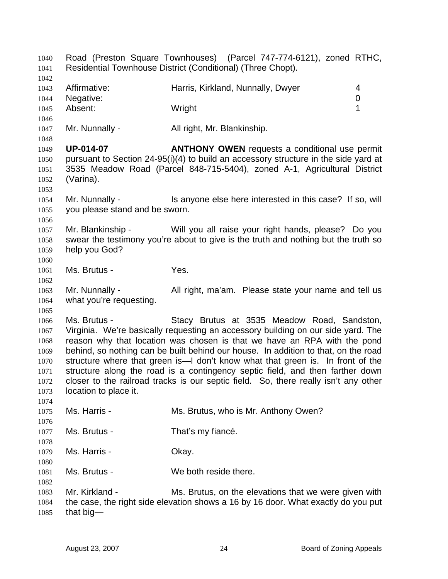Road (Preston Square Townhouses) (Parcel 747-774-6121), zoned RTHC, Residential Townhouse District (Conditional) (Three Chopt). 1040 1041 1042 1043 1044 1045 1046 1047 1048 1049 1050 1051 1052 1053 1054 1055 1056 1057 1058 1059 1060 1061 1062 1063 1064 1065 1066 1067 1068 1069 1070 1071 1072 1073 1074 1075 1076 1077 1078 1079 1080 1081 1082 1083 1084 1085 Affirmative: **Harris, Kirkland, Nunnally, Dwyer** 4 Negative: 0 Absent: 1 Mr. Nunnally - All right, Mr. Blankinship. **UP-014-07 ANTHONY OWEN** requests a conditional use permit pursuant to Section 24-95(i)(4) to build an accessory structure in the side yard at 3535 Meadow Road (Parcel 848-715-5404), zoned A-1, Agricultural District (Varina). Mr. Nunnally - Is anyone else here interested in this case? If so, will you please stand and be sworn. Mr. Blankinship - Will you all raise your right hands, please? Do you swear the testimony you're about to give is the truth and nothing but the truth so help you God? Ms. Brutus - The Yes. Mr. Nunnally - All right, ma'am. Please state your name and tell us what you're requesting. Ms. Brutus - The Stacy Brutus at 3535 Meadow Road, Sandston, Virginia. We're basically requesting an accessory building on our side yard. The reason why that location was chosen is that we have an RPA with the pond behind, so nothing can be built behind our house. In addition to that, on the road structure where that green is—I don't know what that green is. In front of the structure along the road is a contingency septic field, and then farther down closer to the railroad tracks is our septic field. So, there really isn't any other location to place it. Ms. Harris - Ms. Brutus, who is Mr. Anthony Owen? Ms. Brutus - That's my fiance. Ms. Harris - Chay. Ms. Brutus - We both reside there. Mr. Kirkland - Ms. Brutus, on the elevations that we were given with the case, the right side elevation shows a 16 by 16 door. What exactly do you put that big—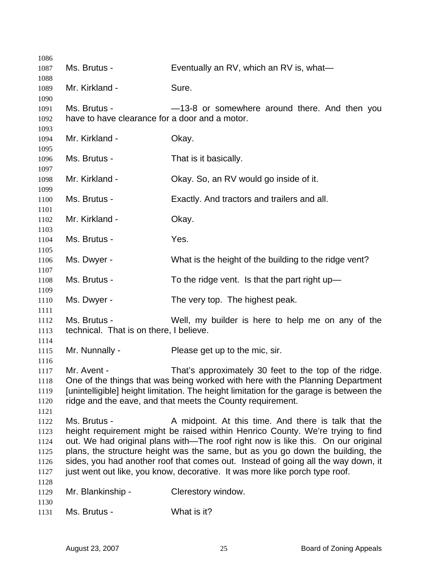| 1086         |                                                |                                                                                         |
|--------------|------------------------------------------------|-----------------------------------------------------------------------------------------|
| 1087         | Ms. Brutus -                                   | Eventually an RV, which an RV is, what-                                                 |
| 1088         |                                                |                                                                                         |
| 1089         | Mr. Kirkland -                                 | Sure.                                                                                   |
| 1090         |                                                |                                                                                         |
| 1091         | Ms. Brutus -                                   | -13-8 or somewhere around there. And then you                                           |
| 1092         | have to have clearance for a door and a motor. |                                                                                         |
| 1093         | Mr. Kirkland -                                 |                                                                                         |
| 1094<br>1095 |                                                | Okay.                                                                                   |
| 1096         | Ms. Brutus -                                   | That is it basically.                                                                   |
| 1097         |                                                |                                                                                         |
| 1098         | Mr. Kirkland -                                 | Okay. So, an RV would go inside of it.                                                  |
| 1099         |                                                |                                                                                         |
| 1100         | Ms. Brutus -                                   | Exactly. And tractors and trailers and all.                                             |
| 1101         |                                                |                                                                                         |
| 1102         | Mr. Kirkland -                                 | Okay.                                                                                   |
| 1103         |                                                |                                                                                         |
| 1104         | Ms. Brutus -                                   | Yes.                                                                                    |
| 1105<br>1106 | Ms. Dwyer -                                    | What is the height of the building to the ridge vent?                                   |
| 1107         |                                                |                                                                                         |
| 1108         | Ms. Brutus -                                   | To the ridge vent. Is that the part right up-                                           |
| 1109         |                                                |                                                                                         |
| 1110         | Ms. Dwyer -                                    | The very top. The highest peak.                                                         |
| 1111         |                                                |                                                                                         |
| 1112         | Ms. Brutus -                                   | Well, my builder is here to help me on any of the                                       |
| 1113         | technical. That is on there, I believe.        |                                                                                         |
| 1114         |                                                |                                                                                         |
| 1115         | Mr. Nunnally -                                 | Please get up to the mic, sir.                                                          |
| 1116<br>1117 | Mr. Avent -                                    | That's approximately 30 feet to the top of the ridge.                                   |
| 1118         |                                                | One of the things that was being worked with here with the Planning Department          |
| 1119         |                                                | [unintelligible] height limitation. The height limitation for the garage is between the |
| 1120         |                                                | ridge and the eave, and that meets the County requirement.                              |
| 1121         |                                                |                                                                                         |
| 1122         | Ms. Brutus -                                   | A midpoint. At this time. And there is talk that the                                    |
| 1123         |                                                | height requirement might be raised within Henrico County. We're trying to find          |
| 1124         |                                                | out. We had original plans with—The roof right now is like this. On our original        |
| 1125         |                                                | plans, the structure height was the same, but as you go down the building, the          |
| 1126         |                                                | sides, you had another roof that comes out. Instead of going all the way down, it       |
| 1127         |                                                | just went out like, you know, decorative. It was more like porch type roof.             |
| 1128         |                                                |                                                                                         |
| 1129         | Mr. Blankinship -                              | Clerestory window.                                                                      |
| 1130         |                                                |                                                                                         |
| 1131         | Ms. Brutus -                                   | What is it?                                                                             |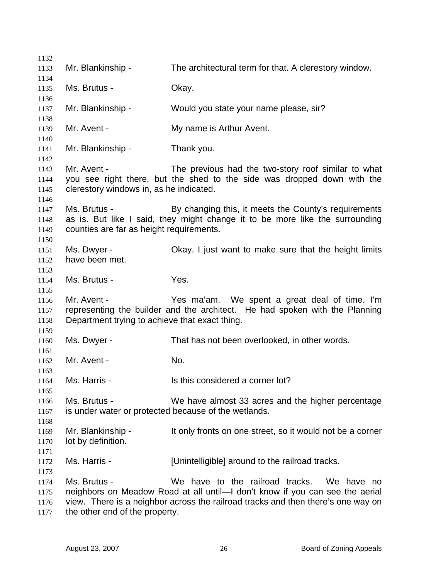Mr. Blankinship - The architectural term for that. A clerestory window. Ms. Brutus - Chay. Mr. Blankinship - Would you state your name please, sir? Mr. Avent - The My name is Arthur Avent. Mr. Blankinship - Thank you. Mr. Avent - The previous had the two-story roof similar to what you see right there, but the shed to the side was dropped down with the clerestory windows in, as he indicated. Ms. Brutus - By changing this, it meets the County's requirements as is. But like I said, they might change it to be more like the surrounding counties are far as height requirements. Ms. Dwyer - Ckay. I just want to make sure that the height limits have been met. Ms. Brutus - The Yes. Mr. Avent - Yes ma'am. We spent a great deal of time. I'm representing the builder and the architect. He had spoken with the Planning Department trying to achieve that exact thing. Ms. Dwyer - That has not been overlooked, in other words. Mr. Avent - No. Ms. Harris - The Is this considered a corner lot? Ms. Brutus - We have almost 33 acres and the higher percentage is under water or protected because of the wetlands. Mr. Blankinship - It only fronts on one street, so it would not be a corner lot by definition. Ms. Harris - **[Unintelligible]** around to the railroad tracks. Ms. Brutus - We have to the railroad tracks. We have no neighbors on Meadow Road at all until—I don't know if you can see the aerial view. There is a neighbor across the railroad tracks and then there's one way on the other end of the property.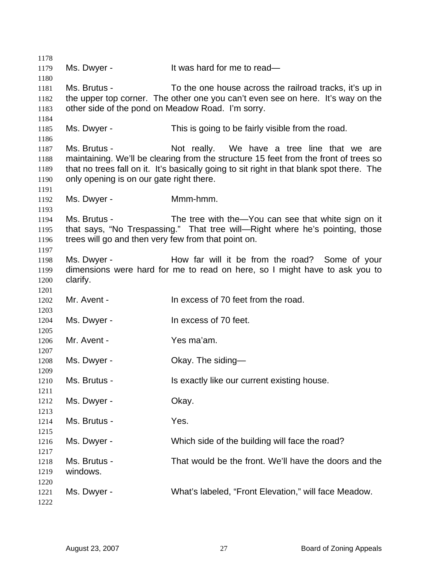Ms. Dwyer - It was hard for me to read— Ms. Brutus - To the one house across the railroad tracks, it's up in the upper top corner. The other one you can't even see on here. It's way on the other side of the pond on Meadow Road. I'm sorry. Ms. Dwyer - This is going to be fairly visible from the road. Ms. Brutus - Not really. We have a tree line that we are maintaining. We'll be clearing from the structure 15 feet from the front of trees so that no trees fall on it. It's basically going to sit right in that blank spot there. The only opening is on our gate right there. Ms. Dwyer - **Mmm-hmm.** Ms. Brutus - The tree with the—You can see that white sign on it that says, "No Trespassing." That tree will—Right where he's pointing, those trees will go and then very few from that point on. Ms. Dwyer - How far will it be from the road? Some of your dimensions were hard for me to read on here, so I might have to ask you to clarify. Mr. Avent - In excess of 70 feet from the road. Ms. Dwyer - The Mass of 70 feet. Mr. Avent - Yes ma'am. Ms. Dwyer - Chay. The siding-Ms. Brutus - Is exactly like our current existing house. Ms. Dwyer - Chay. Ms. Brutus - The Yes. Ms. Dwyer - Which side of the building will face the road? Ms. Brutus - That would be the front. We'll have the doors and the windows. Ms. Dwyer - What's labeled, "Front Elevation," will face Meadow.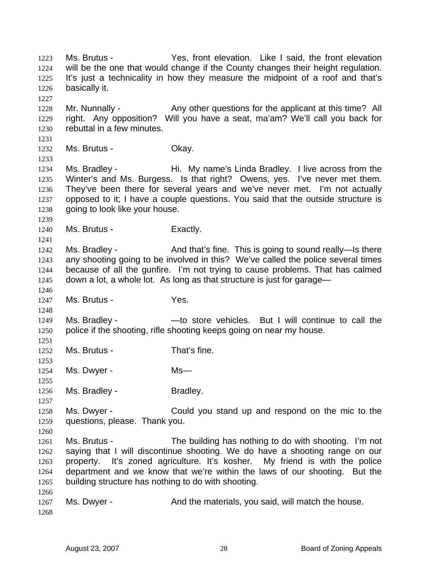Ms. Brutus - The Yes, front elevation. Like I said, the front elevation will be the one that would change if the County changes their height regulation. It's just a technicality in how they measure the midpoint of a roof and that's basically it. 1223 1224 1225 1226 1227 1228 1229 1230 1231 1232 1233 1234 1235 1236 1237 1238 1239 1240 1241 1242 1243 1244 1245 1246 1247 1248 1249 1250 1251 1252 1253 1254 1255 1256 1257 1258 1259 1260 1261 1262 1263 1264 1265 1266 1267 1268 Mr. Nunnally - Any other questions for the applicant at this time? All right. Any opposition? Will you have a seat, ma'am? We'll call you back for rebuttal in a few minutes. Ms. Brutus - Chay. Ms. Bradley - Thi. My name's Linda Bradley. I live across from the Winter's and Ms. Burgess. Is that right? Owens, yes. I've never met them. They've been there for several years and we've never met. I'm not actually opposed to it; I have a couple questions. You said that the outside structure is going to look like your house. Ms. Brutus - Exactly. Ms. Bradley - And that's fine. This is going to sound really—Is there any shooting going to be involved in this? We've called the police several times because of all the gunfire. I'm not trying to cause problems. That has calmed down a lot, a whole lot. As long as that structure is just for garage— Ms. Brutus - Yes. Ms. Bradley - — —to store vehicles. But I will continue to call the police if the shooting, rifle shooting keeps going on near my house. Ms. Brutus - That's fine. Ms. Dwyer - Ms— Ms. Bradley - Bradley. Ms. Dwyer - Could you stand up and respond on the mic to the questions, please. Thank you. Ms. Brutus - The building has nothing to do with shooting. I'm not saying that I will discontinue shooting. We do have a shooting range on our property. It's zoned agriculture. It's kosher. My friend is with the police department and we know that we're within the laws of our shooting. But the building structure has nothing to do with shooting. Ms. Dwyer - And the materials, you said, will match the house.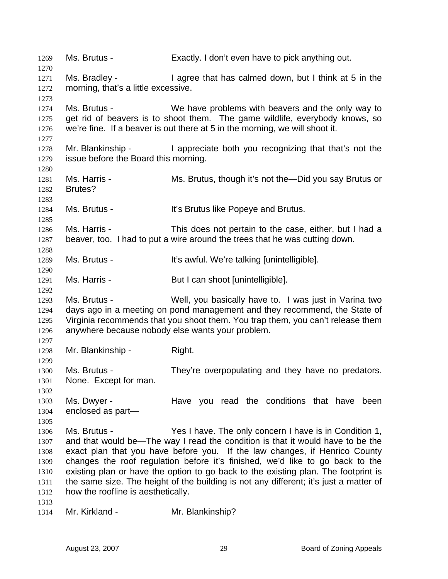1269 Ms. Brutus - Exactly. I don't even have to pick anything out. 1270 1271 1272 1273 1274 1275 1276 1277 1278 1279 1280 1281 1282 1283 1284 1285 1286 1287 1288 1289 1290 1291 1292 1293 1294 1295 1296 1297 1298 1299 1300 1301 1302 1303 1304 1305 1306 1307 1308 1309 1310 1311 1312 1313 1314 Ms. Bradley - I agree that has calmed down, but I think at 5 in the morning, that's a little excessive. Ms. Brutus - We have problems with beavers and the only way to get rid of beavers is to shoot them. The game wildlife, everybody knows, so we're fine. If a beaver is out there at 5 in the morning, we will shoot it. Mr. Blankinship - I appreciate both you recognizing that that's not the issue before the Board this morning. Ms. Harris - Ms. Brutus, though it's not the—Did you say Brutus or Brutes? Ms. Brutus - It's Brutus like Popeye and Brutus. Ms. Harris - This does not pertain to the case, either, but I had a beaver, too. I had to put a wire around the trees that he was cutting down. Ms. Brutus - The Millian State of the It's awful. We're talking [unintelligible]. Ms. Harris - But I can shoot [unintelligible]. Ms. Brutus - Well, you basically have to. I was just in Varina two days ago in a meeting on pond management and they recommend, the State of Virginia recommends that you shoot them. You trap them, you can't release them anywhere because nobody else wants your problem. Mr. Blankinship - Right. Ms. Brutus - They're overpopulating and they have no predators. None. Except for man. Ms. Dwyer - The Have you read the conditions that have been enclosed as part— Ms. Brutus - Yes I have. The only concern I have is in Condition 1, and that would be—The way I read the condition is that it would have to be the exact plan that you have before you. If the law changes, if Henrico County changes the roof regulation before it's finished, we'd like to go back to the existing plan or have the option to go back to the existing plan. The footprint is the same size. The height of the building is not any different; it's just a matter of how the roofline is aesthetically. Mr. Kirkland - Mr. Blankinship?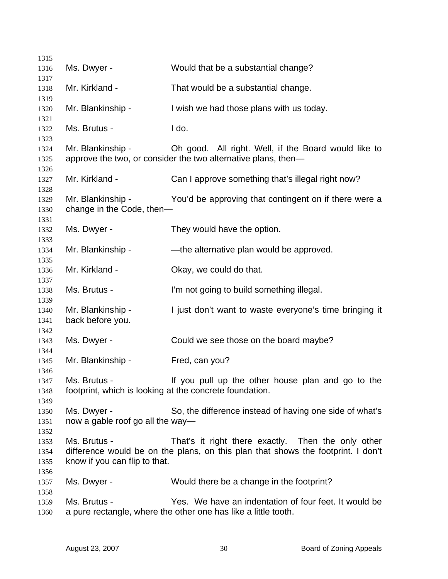| 1315                         |                                                         |                                                                                                                                        |
|------------------------------|---------------------------------------------------------|----------------------------------------------------------------------------------------------------------------------------------------|
| 1316                         | Ms. Dwyer -                                             | Would that be a substantial change?                                                                                                    |
| 1317                         | Mr. Kirkland -                                          |                                                                                                                                        |
| 1318<br>1319                 |                                                         | That would be a substantial change.                                                                                                    |
| 1320<br>1321                 | Mr. Blankinship -                                       | I wish we had those plans with us today.                                                                                               |
| 1322<br>1323                 | Ms. Brutus -                                            | I do.                                                                                                                                  |
| 1324<br>1325<br>1326         | Mr. Blankinship -                                       | Oh good. All right. Well, if the Board would like to<br>approve the two, or consider the two alternative plans, then-                  |
| 1327<br>1328                 | Mr. Kirkland -                                          | Can I approve something that's illegal right now?                                                                                      |
| 1329<br>1330                 | Mr. Blankinship -<br>change in the Code, then-          | You'd be approving that contingent on if there were a                                                                                  |
| 1331<br>1332<br>1333         | Ms. Dwyer -                                             | They would have the option.                                                                                                            |
| 1334<br>1335                 | Mr. Blankinship -                                       | -the alternative plan would be approved.                                                                                               |
| 1336<br>1337                 | Mr. Kirkland -                                          | Okay, we could do that.                                                                                                                |
| 1338<br>1339                 | Ms. Brutus -                                            | I'm not going to build something illegal.                                                                                              |
| 1340<br>1341<br>1342         | Mr. Blankinship -<br>back before you.                   | I just don't want to waste everyone's time bringing it                                                                                 |
| 1343<br>1344                 | Ms. Dwyer -                                             | Could we see those on the board maybe?                                                                                                 |
| 1345<br>1346                 | Mr. Blankinship -                                       | Fred, can you?                                                                                                                         |
| 1347<br>1348                 | footprint, which is looking at the concrete foundation. | Ms. Brutus - If you pull up the other house plan and go to the                                                                         |
| 1349<br>1350<br>1351<br>1352 | Ms. Dwyer -<br>now a gable roof go all the way—         | So, the difference instead of having one side of what's                                                                                |
| 1353<br>1354<br>1355         | Ms. Brutus -<br>know if you can flip to that.           | That's it right there exactly. Then the only other<br>difference would be on the plans, on this plan that shows the footprint. I don't |
| 1356<br>1357<br>1358         | Ms. Dwyer -                                             | Would there be a change in the footprint?                                                                                              |
| 1359<br>1360                 | Ms. Brutus -                                            | Yes. We have an indentation of four feet. It would be<br>a pure rectangle, where the other one has like a little tooth.                |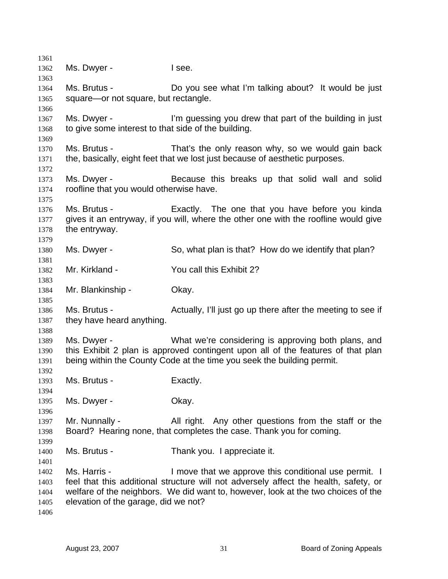| 1361         |                                                     |                                                                                      |
|--------------|-----------------------------------------------------|--------------------------------------------------------------------------------------|
| 1362         | Ms. Dwyer -                                         | I see.                                                                               |
| 1363         |                                                     |                                                                                      |
| 1364         | Ms. Brutus -                                        | Do you see what I'm talking about? It would be just                                  |
| 1365         | square-or not square, but rectangle.                |                                                                                      |
| 1366         |                                                     |                                                                                      |
| 1367         | Ms. Dwyer -                                         | I'm guessing you drew that part of the building in just                              |
| 1368         | to give some interest to that side of the building. |                                                                                      |
| 1369         |                                                     |                                                                                      |
| 1370         | Ms. Brutus -                                        | That's the only reason why, so we would gain back                                    |
| 1371         |                                                     | the, basically, eight feet that we lost just because of aesthetic purposes.          |
| 1372         |                                                     |                                                                                      |
| 1373         | Ms. Dwyer -                                         | Because this breaks up that solid wall and solid                                     |
| 1374         | roofline that you would otherwise have.             |                                                                                      |
| 1375         |                                                     |                                                                                      |
| 1376         | Ms. Brutus -                                        | Exactly. The one that you have before you kinda                                      |
| 1377         |                                                     | gives it an entryway, if you will, where the other one with the roofline would give  |
| 1378         | the entryway.                                       |                                                                                      |
| 1379         |                                                     |                                                                                      |
| 1380         | Ms. Dwyer -                                         | So, what plan is that? How do we identify that plan?                                 |
| 1381         |                                                     |                                                                                      |
| 1382         | Mr. Kirkland -                                      | You call this Exhibit 2?                                                             |
| 1383         | Mr. Blankinship -                                   | Okay.                                                                                |
| 1384<br>1385 |                                                     |                                                                                      |
| 1386         | Ms. Brutus -                                        | Actually, I'll just go up there after the meeting to see if                          |
| 1387         | they have heard anything.                           |                                                                                      |
| 1388         |                                                     |                                                                                      |
| 1389         | Ms. Dwyer -                                         | What we're considering is approving both plans, and                                  |
| 1390         |                                                     | this Exhibit 2 plan is approved contingent upon all of the features of that plan     |
| 1391         |                                                     | being within the County Code at the time you seek the building permit.               |
| 1392         |                                                     |                                                                                      |
| 1393         | Ms. Brutus -                                        | Exactly.                                                                             |
| 1394         |                                                     |                                                                                      |
| 1395         | Ms. Dwyer -                                         | Okay.                                                                                |
| 1396         |                                                     |                                                                                      |
| 1397         | Mr. Nunnally -                                      | All right. Any other questions from the staff or the                                 |
| 1398         |                                                     | Board? Hearing none, that completes the case. Thank you for coming.                  |
| 1399         |                                                     |                                                                                      |
| 1400         | Ms. Brutus -                                        | Thank you. I appreciate it.                                                          |
| 1401         |                                                     |                                                                                      |
| 1402         | Ms. Harris -                                        | I move that we approve this conditional use permit. I                                |
| 1403         |                                                     | feel that this additional structure will not adversely affect the health, safety, or |
| 1404         |                                                     | welfare of the neighbors. We did want to, however, look at the two choices of the    |
| 1405         | elevation of the garage, did we not?                |                                                                                      |
| 1406         |                                                     |                                                                                      |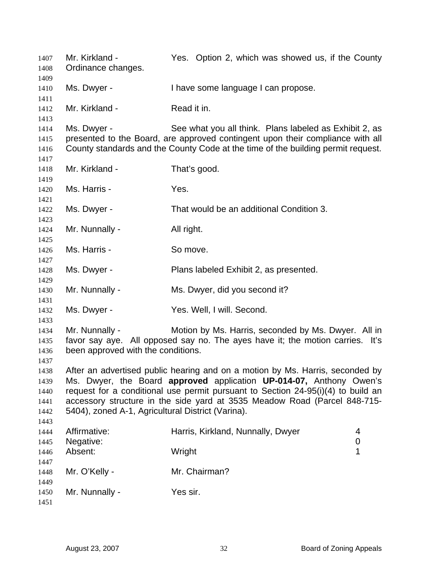| 1407<br>1408                                 | Mr. Kirkland -<br>Ordinance changes.                 | Yes. Option 2, which was showed us, if the County                                                                                                                                                                                                                                                                     |
|----------------------------------------------|------------------------------------------------------|-----------------------------------------------------------------------------------------------------------------------------------------------------------------------------------------------------------------------------------------------------------------------------------------------------------------------|
| 1409<br>1410<br>1411                         | Ms. Dwyer -                                          | I have some language I can propose.                                                                                                                                                                                                                                                                                   |
| 1412<br>1413                                 | Mr. Kirkland -                                       | Read it in.                                                                                                                                                                                                                                                                                                           |
| 1414<br>1415<br>1416                         | Ms. Dwyer -                                          | See what you all think. Plans labeled as Exhibit 2, as<br>presented to the Board, are approved contingent upon their compliance with all<br>County standards and the County Code at the time of the building permit request.                                                                                          |
| 1417<br>1418<br>1419                         | Mr. Kirkland -                                       | That's good.                                                                                                                                                                                                                                                                                                          |
| 1420<br>1421                                 | Ms. Harris -                                         | Yes.                                                                                                                                                                                                                                                                                                                  |
| 1422<br>1423                                 | Ms. Dwyer -                                          | That would be an additional Condition 3.                                                                                                                                                                                                                                                                              |
| 1424<br>1425                                 | Mr. Nunnally -                                       | All right.                                                                                                                                                                                                                                                                                                            |
| 1426<br>1427                                 | Ms. Harris -                                         | So move.                                                                                                                                                                                                                                                                                                              |
| 1428<br>1429                                 | Ms. Dwyer -                                          | Plans labeled Exhibit 2, as presented.                                                                                                                                                                                                                                                                                |
| 1430<br>1431                                 | Mr. Nunnally -                                       | Ms. Dwyer, did you second it?                                                                                                                                                                                                                                                                                         |
| 1432<br>1433                                 | Ms. Dwyer -                                          | Yes. Well, I will. Second.                                                                                                                                                                                                                                                                                            |
| 1434<br>1435<br>1436<br>1437                 | Mr. Nunnally -<br>been approved with the conditions. | Motion by Ms. Harris, seconded by Ms. Dwyer. All in<br>favor say aye. All opposed say no. The ayes have it; the motion carries. It's                                                                                                                                                                                  |
| 1438<br>1439<br>1440<br>1441<br>1442<br>1443 | 5404), zoned A-1, Agricultural District (Varina).    | After an advertised public hearing and on a motion by Ms. Harris, seconded by<br>Ms. Dwyer, the Board approved application UP-014-07, Anthony Owen's<br>request for a conditional use permit pursuant to Section 24-95(i)(4) to build an<br>accessory structure in the side yard at 3535 Meadow Road (Parcel 848-715- |
| 1444<br>1445                                 | Affirmative:<br>Negative:                            | Harris, Kirkland, Nunnally, Dwyer<br>4<br>0                                                                                                                                                                                                                                                                           |
| 1446<br>1447                                 | Absent:                                              | Wright<br>1                                                                                                                                                                                                                                                                                                           |
| 1448<br>1449                                 | Mr. O'Kelly -                                        | Mr. Chairman?                                                                                                                                                                                                                                                                                                         |
| 1450<br>1451                                 | Mr. Nunnally -                                       | Yes sir.                                                                                                                                                                                                                                                                                                              |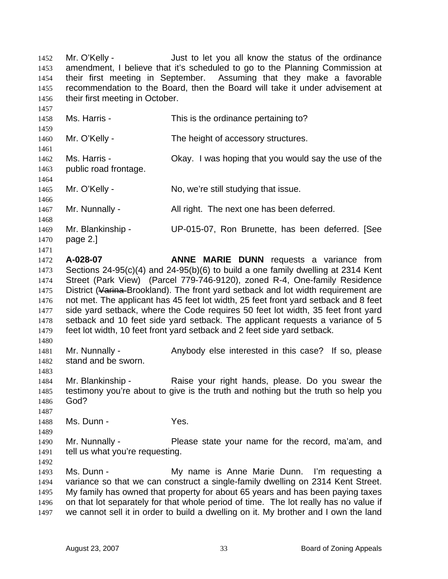Mr. O'Kelly - Just to let you all know the status of the ordinance amendment, I believe that it's scheduled to go to the Planning Commission at their first meeting in September. Assuming that they make a favorable recommendation to the Board, then the Board will take it under advisement at their first meeting in October. 1452 1453 1454 1455 1456

1457 1458 1459 1460 1461 1462 1463 1464 1465 1466 1467 1468 1469 1470 1471 1472 1473 1474 Ms. Harris - This is the ordinance pertaining to? Mr. O'Kelly - The height of accessory structures. Ms. Harris - Okay. I was hoping that you would say the use of the public road frontage. Mr. O'Kelly - No, we're still studying that issue. Mr. Nunnally - All right. The next one has been deferred. Mr. Blankinship - UP-015-07, Ron Brunette, has been deferred. [See page 2.] **A-028-07 ANNE MARIE DUNN** requests a variance from Sections 24-95(c)(4) and 24-95(b)(6) to build a one family dwelling at 2314 Kent Street (Park View) (Parcel 779-746-9120), zoned R-4, One-family Residence District (Varina Brookland). The front yard setback and lot width requirement are not met. The applicant has 45 feet lot width, 25 feet front yard setback and 8 feet side yard setback, where the Code requires 50 feet lot width, 35 feet front yard setback and 10 feet side yard setback. The applicant requests a variance of 5 feet lot width, 10 feet front yard setback and 2 feet side yard setback. 1475 1476 1477 1478 1479 1480 1481 1482 1483 1484 Mr. Nunnally - Anybody else interested in this case? If so, please stand and be sworn. Mr. Blankinship - The Raise your right hands, please. Do you swear the

1485 1486 1487 testimony you're about to give is the truth and nothing but the truth so help you God?

1488 Ms. Dunn - Yes.

1490 1491 Mr. Nunnally - Please state your name for the record, ma'am, and tell us what you're requesting.

1492

1489

1493 1494 1495 1496 1497 Ms. Dunn - The My name is Anne Marie Dunn. I'm requesting a variance so that we can construct a single-family dwelling on 2314 Kent Street. My family has owned that property for about 65 years and has been paying taxes on that lot separately for that whole period of time. The lot really has no value if we cannot sell it in order to build a dwelling on it. My brother and I own the land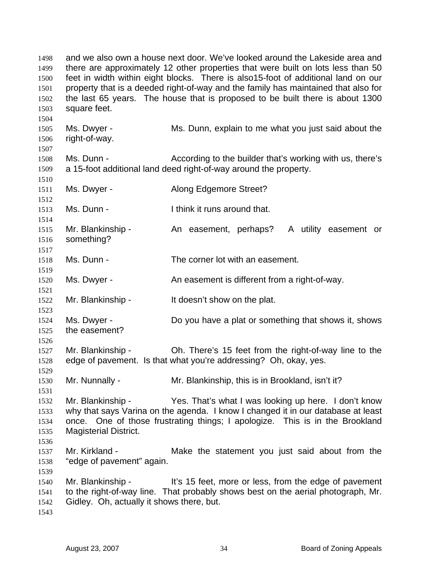and we also own a house next door. We've looked around the Lakeside area and there are approximately 12 other properties that were built on lots less than 50 feet in width within eight blocks. There is also15-foot of additional land on our property that is a deeded right-of-way and the family has maintained that also for the last 65 years. The house that is proposed to be built there is about 1300 square feet. 1498 1499 1500 1501 1502 1503 1504 1505 1506 1507 1508 1509 1510 1511 1512 1513 1514 1515 1516 1517 1518 1519 1520 1521 1522 1523 1524 1525 1526 1527 1528 1529 1530 1531 1532 1533 1534 1535 1536 1537 1538 1539 1540 1541 1542 1543 Ms. Dwyer - Ms. Dunn, explain to me what you just said about the right-of-way. Ms. Dunn - According to the builder that's working with us, there's a 15-foot additional land deed right-of-way around the property. Ms. Dwyer - **Along Edgemore Street?** Ms. Dunn - Think it runs around that. Mr. Blankinship - An easement, perhaps? A utility easement or something? Ms. Dunn - The corner lot with an easement. Ms. Dwyer - An easement is different from a right-of-way. Mr. Blankinship - It doesn't show on the plat. Ms. Dwyer - Do you have a plat or something that shows it, shows the easement? Mr. Blankinship - Oh. There's 15 feet from the right-of-way line to the edge of pavement. Is that what you're addressing? Oh, okay, yes. Mr. Nunnally - Mr. Blankinship, this is in Brookland, isn't it? Mr. Blankinship - Yes. That's what I was looking up here. I don't know why that says Varina on the agenda. I know I changed it in our database at least once. One of those frustrating things; I apologize. This is in the Brookland Magisterial District. Mr. Kirkland - The Make the statement you just said about from the "edge of pavement" again. Mr. Blankinship - It's 15 feet, more or less, from the edge of pavement to the right-of-way line. That probably shows best on the aerial photograph, Mr. Gidley. Oh, actually it shows there, but.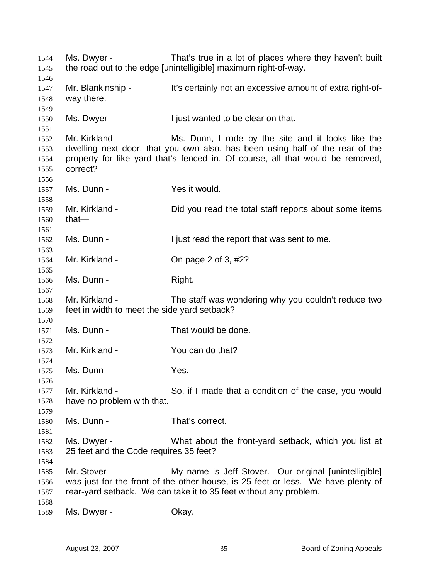Ms. Dwyer - That's true in a lot of places where they haven't built the road out to the edge [unintelligible] maximum right-of-way. Mr. Blankinship - It's certainly not an excessive amount of extra right-ofway there. Ms. Dwyer - I just wanted to be clear on that. Mr. Kirkland - Ms. Dunn, I rode by the site and it looks like the dwelling next door, that you own also, has been using half of the rear of the property for like yard that's fenced in. Of course, all that would be removed, correct? Ms. Dunn - Yes it would. Mr. Kirkland - Did you read the total staff reports about some items that— Ms. Dunn - I just read the report that was sent to me. Mr. Kirkland - Chipage 2 of 3, #2? Ms. Dunn - Right. Mr. Kirkland - The staff was wondering why you couldn't reduce two feet in width to meet the side yard setback? Ms. Dunn - That would be done. Mr. Kirkland - You can do that? Ms. Dunn - Yes. Mr. Kirkland - So, if I made that a condition of the case, you would have no problem with that. Ms. Dunn - That's correct. Ms. Dwyer - What about the front-yard setback, which you list at 25 feet and the Code requires 35 feet? Mr. Stover - **My name is Jeff Stover.** Our original [unintelligible] was just for the front of the other house, is 25 feet or less. We have plenty of rear-yard setback. We can take it to 35 feet without any problem. Ms. Dwyer - Chay.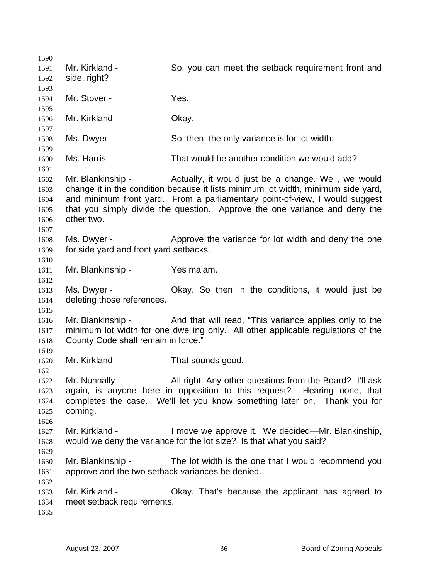1590 1591 1592 1593 1594 1595 1596 1597 1598 1599 1600 1601 1602 1603 1604 1605 1606 1607 1608 1609 1610 1611 1612 1613 1614 1615 1616 1617 1618 1619 1620 1621 1622 1623 1624 1625 1626 1627 1628 1629 1630 1631 1632 1633 1634 1635 Mr. Kirkland - So, you can meet the setback requirement front and side, right? Mr. Stover - Yes. Mr. Kirkland - **Okay.** Ms. Dwyer - So, then, the only variance is for lot width. Ms. Harris - That would be another condition we would add? Mr. Blankinship - Actually, it would just be a change. Well, we would change it in the condition because it lists minimum lot width, minimum side yard, and minimum front yard. From a parliamentary point-of-view, I would suggest that you simply divide the question. Approve the one variance and deny the other two. Ms. Dwyer - **Approve the variance for lot width and deny the one** for side yard and front yard setbacks. Mr. Blankinship - Yes ma'am. Ms. Dwyer - Okay. So then in the conditions, it would just be deleting those references. Mr. Blankinship - And that will read, "This variance applies only to the minimum lot width for one dwelling only. All other applicable regulations of the County Code shall remain in force." Mr. Kirkland - That sounds good. Mr. Nunnally - All right. Any other questions from the Board? I'll ask again, is anyone here in opposition to this request? Hearing none, that completes the case. We'll let you know something later on. Thank you for coming. Mr. Kirkland - I move we approve it. We decided—Mr. Blankinship, would we deny the variance for the lot size? Is that what you said? Mr. Blankinship - The lot width is the one that I would recommend you approve and the two setback variances be denied. Mr. Kirkland - Okay. That's because the applicant has agreed to meet setback requirements.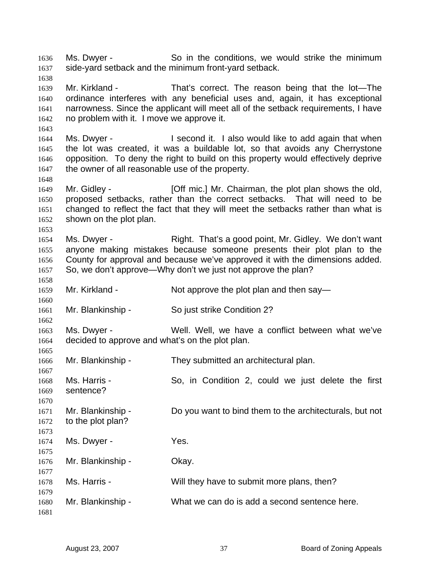Ms. Dwyer - So in the conditions, we would strike the minimum side-yard setback and the minimum front-yard setback. 1636 1637 1638

1639 1640 1641 1642 Mr. Kirkland - That's correct. The reason being that the lot-The ordinance interferes with any beneficial uses and, again, it has exceptional narrowness. Since the applicant will meet all of the setback requirements, I have no problem with it. I move we approve it.

1644 1645 1646 1647 Ms. Dwyer - I second it. I also would like to add again that when the lot was created, it was a buildable lot, so that avoids any Cherrystone opposition. To deny the right to build on this property would effectively deprive the owner of all reasonable use of the property.

1649 1650 1651 1652 Mr. Gidley - [Off mic.] Mr. Chairman, the plot plan shows the old, proposed setbacks, rather than the correct setbacks. That will need to be changed to reflect the fact that they will meet the setbacks rather than what is shown on the plot plan.

1654 1655 1656 1657 Ms. Dwyer - Right. That's a good point, Mr. Gidley. We don't want anyone making mistakes because someone presents their plot plan to the County for approval and because we've approved it with the dimensions added. So, we don't approve—Why don't we just not approve the plan?

1659 Mr. Kirkland - Not approve the plot plan and then say—

1661 Mr. Blankinship - So just strike Condition 2?

1663 1664 1665 Ms. Dwyer - Well. Well, we have a conflict between what we've decided to approve and what's on the plot plan.

1666 Mr. Blankinship - They submitted an architectural plan.

1668 1669 1670 Ms. Harris - So, in Condition 2, could we just delete the first sentence?

1671 1672 Mr. Blankinship - Do you want to bind them to the architecturals, but not to the plot plan?

| 1674                 | Ms. Dwyer -       | Yes.                                          |
|----------------------|-------------------|-----------------------------------------------|
| 1675<br>1676         | Mr. Blankinship - | Okay.                                         |
| 1677<br>1678<br>1679 | Ms. Harris -      | Will they have to submit more plans, then?    |
| 1680<br>1681         | Mr. Blankinship - | What we can do is add a second sentence here. |

1643

1648

1653

1658

1660

1662

1667

1673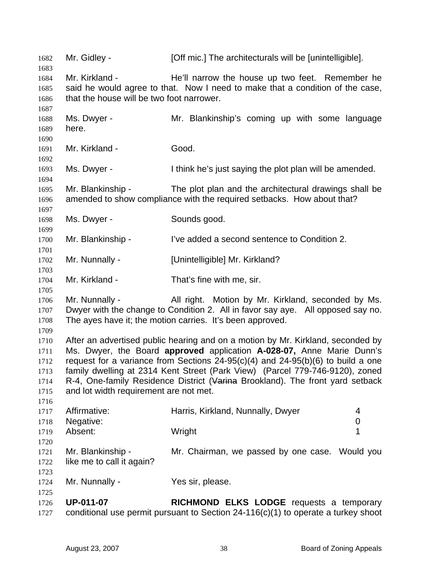1682 Mr. Gidley - [Off mic.] The architecturals will be [unintelligible]. 1683 1684 1685 1686 1687 1688 1689 1690 1691 1692 1693 1694 1695 1696 1697 1698 1699 1700 1701 1702 1703 1704 1705 1706 1707 1708 1709 1710 1711 1712 1713 Mr. Kirkland - He'll narrow the house up two feet. Remember he said he would agree to that. Now I need to make that a condition of the case, that the house will be two foot narrower. Ms. Dwyer - The Mr. Blankinship's coming up with some language here. Mr. Kirkland - Good. Ms. Dwyer - I think he's just saying the plot plan will be amended. Mr. Blankinship - The plot plan and the architectural drawings shall be amended to show compliance with the required setbacks. How about that? Ms. Dwyer - Sounds good. Mr. Blankinship - I've added a second sentence to Condition 2. Mr. Nunnally - [Unintelligible] Mr. Kirkland? Mr. Kirkland - That's fine with me, sir. Mr. Nunnally - All right. Motion by Mr. Kirkland, seconded by Ms. Dwyer with the change to Condition 2. All in favor say aye. All opposed say no. The ayes have it; the motion carries. It's been approved. After an advertised public hearing and on a motion by Mr. Kirkland, seconded by Ms. Dwyer, the Board **approved** application **A-028-07,** Anne Marie Dunn's request for a variance from Sections 24-95(c)(4) and 24-95(b)(6) to build a one family dwelling at 2314 Kent Street (Park View) (Parcel 779-746-9120), zoned R-4, One-family Residence District (Varina Brookland). The front yard setback and lot width requirement are not met. 1714 1715 1716 1717 1718 1719 1720 1721 1722 1723 1724 1725 1726 1727 Affirmative: **Harris, Kirkland, Nunnally, Dwyer** 4 Negative: 0 Absent: Wright 1 Mr. Blankinship - Mr. Chairman, we passed by one case. Would you like me to call it again? Mr. Nunnally - Yes sir, please. **UP-011-07 RICHMOND ELKS LODGE** requests a temporary conditional use permit pursuant to Section 24-116(c)(1) to operate a turkey shoot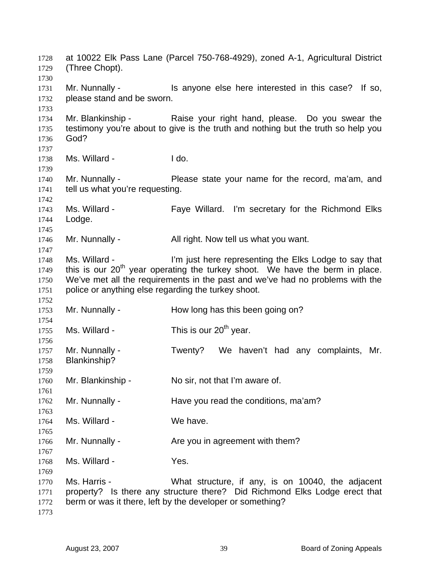at 10022 Elk Pass Lane (Parcel 750-768-4929), zoned A-1, Agricultural District (Three Chopt). Mr. Nunnally - This anyone else here interested in this case? If so, please stand and be sworn. Mr. Blankinship - Raise your right hand, please. Do you swear the testimony you're about to give is the truth and nothing but the truth so help you God? Ms. Willard - I do. Mr. Nunnally - Please state your name for the record, ma'am, and tell us what you're requesting. Ms. Willard - Faye Willard. I'm secretary for the Richmond Elks Lodge. Mr. Nunnally - All right. Now tell us what you want. Ms. Willard - The limit is limit in the Elks Lodge to say that this is our  $20<sup>th</sup>$  year operating the turkey shoot. We have the berm in place. We've met all the requirements in the past and we've had no problems with the police or anything else regarding the turkey shoot. Mr. Nunnally - How long has this been going on? Ms. Willard -  $\frac{1}{20}$  This is our 20<sup>th</sup> year. Mr. Nunnally - Twenty? We haven't had any complaints, Mr. Blankinship? Mr. Blankinship - No sir, not that I'm aware of. Mr. Nunnally - Have you read the conditions, ma'am? Ms. Willard - We have. Mr. Nunnally - The you in agreement with them? Ms. Willard - Yes. Ms. Harris - The Mustic Morton What structure, if any, is on 10040, the adjacent property? Is there any structure there? Did Richmond Elks Lodge erect that berm or was it there, left by the developer or something?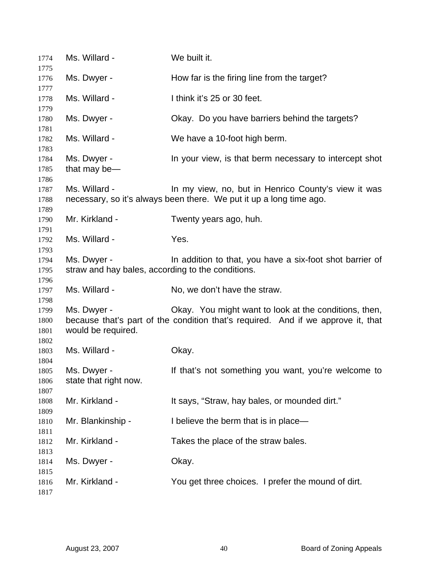| 1774                         | Ms. Willard -                                                    | We built it.                                                                                                                              |
|------------------------------|------------------------------------------------------------------|-------------------------------------------------------------------------------------------------------------------------------------------|
| 1775<br>1776                 | Ms. Dwyer -                                                      | How far is the firing line from the target?                                                                                               |
| 1777                         |                                                                  |                                                                                                                                           |
| 1778<br>1779                 | Ms. Willard -                                                    | I think it's 25 or 30 feet.                                                                                                               |
| 1780<br>1781                 | Ms. Dwyer -                                                      | Okay. Do you have barriers behind the targets?                                                                                            |
| 1782<br>1783                 | Ms. Willard -                                                    | We have a 10-foot high berm.                                                                                                              |
| 1784<br>1785<br>1786         | Ms. Dwyer -<br>that may be-                                      | In your view, is that berm necessary to intercept shot                                                                                    |
| 1787<br>1788<br>1789         | Ms. Willard -                                                    | In my view, no, but in Henrico County's view it was<br>necessary, so it's always been there. We put it up a long time ago.                |
| 1790<br>1791                 | Mr. Kirkland -                                                   | Twenty years ago, huh.                                                                                                                    |
| 1792<br>1793                 | Ms. Willard -                                                    | Yes.                                                                                                                                      |
| 1794<br>1795<br>1796         | Ms. Dwyer -<br>straw and hay bales, according to the conditions. | In addition to that, you have a six-foot shot barrier of                                                                                  |
| 1797<br>1798                 | Ms. Willard -                                                    | No, we don't have the straw.                                                                                                              |
| 1799<br>1800<br>1801<br>1802 | Ms. Dwyer -<br>would be required.                                | Okay. You might want to look at the conditions, then,<br>because that's part of the condition that's required. And if we approve it, that |
| 1803<br>1804                 | Ms. Willard -                                                    | Okay.                                                                                                                                     |
| 1805<br>1806<br>1807         | Ms. Dwyer -<br>state that right now.                             | If that's not something you want, you're welcome to                                                                                       |
| 1808<br>1809                 | Mr. Kirkland -                                                   | It says, "Straw, hay bales, or mounded dirt."                                                                                             |
| 1810<br>1811                 | Mr. Blankinship -                                                | I believe the berm that is in place-                                                                                                      |
| 1812<br>1813                 | Mr. Kirkland -                                                   | Takes the place of the straw bales.                                                                                                       |
| 1814<br>1815                 | Ms. Dwyer -                                                      | Okay.                                                                                                                                     |
| 1816<br>1817                 | Mr. Kirkland -                                                   | You get three choices. I prefer the mound of dirt.                                                                                        |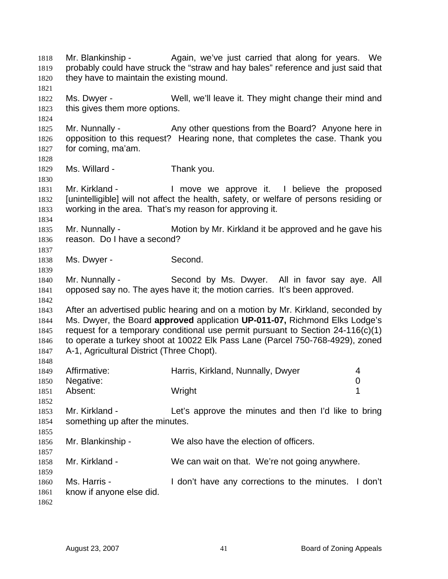Mr. Blankinship - Again, we've just carried that along for years. We probably could have struck the "straw and hay bales" reference and just said that they have to maintain the existing mound. 1818 1819 1820 1821 1822 1823 1824 1825 1826 1827 1828 1829 1830 1831 1832 1833 1834 1835 1836 1837 1838 1839 1840 1841 1842 1843 1844 1845 1846 1847 1848 1849 1850 1851 1852 1853 1854 1855 1856 1857 1858 1859 1860 1861 1862 Ms. Dwyer - Well, we'll leave it. They might change their mind and this gives them more options. Mr. Nunnally - Any other questions from the Board? Anyone here in opposition to this request? Hearing none, that completes the case. Thank you for coming, ma'am. Ms. Willard - Thank you. Mr. Kirkland - The Move we approve it. I believe the proposed [unintelligible] will not affect the health, safety, or welfare of persons residing or working in the area. That's my reason for approving it. Mr. Nunnally - Motion by Mr. Kirkland it be approved and he gave his reason. Do I have a second? Ms. Dwyer - Second. Mr. Nunnally - Second by Ms. Dwyer. All in favor say aye. All opposed say no. The ayes have it; the motion carries. It's been approved. After an advertised public hearing and on a motion by Mr. Kirkland, seconded by Ms. Dwyer, the Board **approved** application **UP-011-07,** Richmond Elks Lodge's request for a temporary conditional use permit pursuant to Section 24-116(c)(1) to operate a turkey shoot at 10022 Elk Pass Lane (Parcel 750-768-4929), zoned A-1, Agricultural District (Three Chopt). Affirmative: **Harris, Kirkland, Nunnally, Dwyer** 4 Negative: 0 Absent: Wright 1 Mr. Kirkland - Let's approve the minutes and then I'd like to bring something up after the minutes. Mr. Blankinship - We also have the election of officers. Mr. Kirkland - We can wait on that. We're not going anywhere. Ms. Harris - The Music Herric I don't have any corrections to the minutes. I don't know if anyone else did.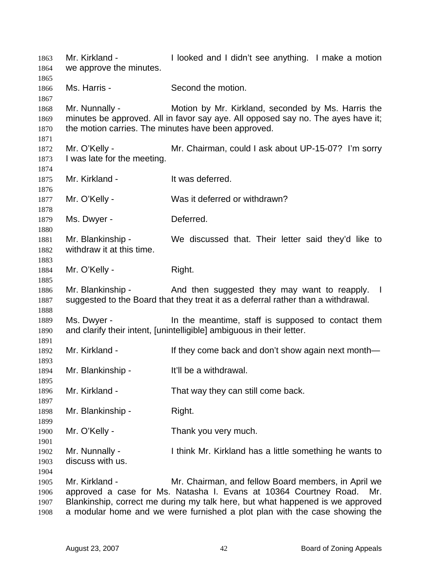Mr. Kirkland - I looked and I didn't see anything. I make a motion we approve the minutes. Ms. Harris - Second the motion. Mr. Nunnally - Motion by Mr. Kirkland, seconded by Ms. Harris the minutes be approved. All in favor say aye. All opposed say no. The ayes have it; the motion carries. The minutes have been approved. Mr. O'Kelly - **Mr. Chairman, could I ask about UP-15-07?** I'm sorry I was late for the meeting. Mr. Kirkland - The It was deferred. Mr. O'Kelly - Was it deferred or withdrawn? Ms. Dwyer - **Deferred.** Mr. Blankinship - We discussed that. Their letter said they'd like to withdraw it at this time. Mr. O'Kelly - Right. Mr. Blankinship - The And then suggested they may want to reapply. I suggested to the Board that they treat it as a deferral rather than a withdrawal. Ms. Dwyer - The meantime, staff is supposed to contact them and clarify their intent, [unintelligible] ambiguous in their letter. Mr. Kirkland - If they come back and don't show again next month— Mr. Blankinship - It'll be a withdrawal. Mr. Kirkland - That way they can still come back. Mr. Blankinship - Right. Mr. O'Kelly - Thank you very much. Mr. Nunnally - I think Mr. Kirkland has a little something he wants to discuss with us. Mr. Kirkland - Mr. Chairman, and fellow Board members, in April we approved a case for Ms. Natasha I. Evans at 10364 Courtney Road. Mr. Blankinship, correct me during my talk here, but what happened is we approved a modular home and we were furnished a plot plan with the case showing the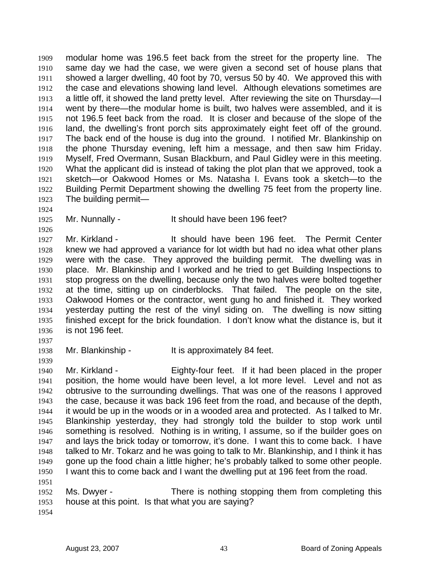modular home was 196.5 feet back from the street for the property line. The same day we had the case, we were given a second set of house plans that showed a larger dwelling, 40 foot by 70, versus 50 by 40. We approved this with the case and elevations showing land level. Although elevations sometimes are a little off, it showed the land pretty level. After reviewing the site on Thursday—I went by there—the modular home is built, two halves were assembled, and it is not 196.5 feet back from the road. It is closer and because of the slope of the land, the dwelling's front porch sits approximately eight feet off of the ground. The back end of the house is dug into the ground. I notified Mr. Blankinship on the phone Thursday evening, left him a message, and then saw him Friday. Myself, Fred Overmann, Susan Blackburn, and Paul Gidley were in this meeting. What the applicant did is instead of taking the plot plan that we approved, took a sketch—or Oakwood Homes or Ms. Natasha I. Evans took a sketch—to the Building Permit Department showing the dwelling 75 feet from the property line. The building permit— 1909 1910 1911 1912 1913 1914 1915 1916 1917 1918 1919 1920 1921 1922 1923

1924

1925 1926

Mr. Nunnally - It should have been 196 feet?

1927 1928 1929 1930 1931 1932 1933 1934 1935 1936 Mr. Kirkland - It should have been 196 feet. The Permit Center knew we had approved a variance for lot width but had no idea what other plans were with the case. They approved the building permit. The dwelling was in place. Mr. Blankinship and I worked and he tried to get Building Inspections to stop progress on the dwelling, because only the two halves were bolted together at the time, sitting up on cinderblocks. That failed. The people on the site, Oakwood Homes or the contractor, went gung ho and finished it. They worked yesterday putting the rest of the vinyl siding on. The dwelling is now sitting finished except for the brick foundation. I don't know what the distance is, but it is not 196 feet.

1937

1939

1938 Mr. Blankinship - It is approximately 84 feet.

1940 1941 1942 1943 1944 1945 1946 1947 1948 1949 1950 1951 Mr. Kirkland - Eighty-four feet. If it had been placed in the proper position, the home would have been level, a lot more level. Level and not as obtrusive to the surrounding dwellings. That was one of the reasons I approved the case, because it was back 196 feet from the road, and because of the depth, it would be up in the woods or in a wooded area and protected. As I talked to Mr. Blankinship yesterday, they had strongly told the builder to stop work until something is resolved. Nothing is in writing, I assume, so if the builder goes on and lays the brick today or tomorrow, it's done. I want this to come back. I have talked to Mr. Tokarz and he was going to talk to Mr. Blankinship, and I think it has gone up the food chain a little higher; he's probably talked to some other people. I want this to come back and I want the dwelling put at 196 feet from the road.

1952 1953 Ms. Dwyer - There is nothing stopping them from completing this house at this point. Is that what you are saying?

1954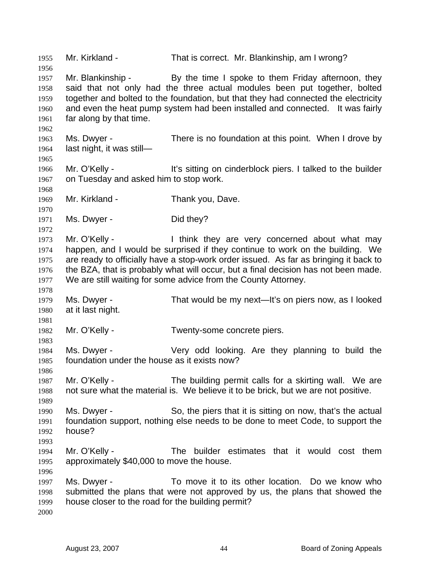1955 Mr. Kirkland - That is correct. Mr. Blankinship, am I wrong? 1956 1957 1958 1959 1960 1961 1962 1963 1964 1965 1966 1967 1968 1969 1970 1971 1972 1973 1974 1975 1976 1977 1978 1979 1980 1981 1982 1983 1984 1985 1986 1987 1988 1989 1990 1991 1992 1993 1994 1995 1996 1997 1998 1999 2000 Mr. Blankinship - By the time I spoke to them Friday afternoon, they said that not only had the three actual modules been put together, bolted together and bolted to the foundation, but that they had connected the electricity and even the heat pump system had been installed and connected. It was fairly far along by that time. Ms. Dwyer - There is no foundation at this point. When I drove by last night, it was still— Mr. O'Kelly - It's sitting on cinderblock piers. I talked to the builder on Tuesday and asked him to stop work. Mr. Kirkland - Thank you, Dave. Ms. Dwyer - Did they? Mr. O'Kelly - Think they are very concerned about what may happen, and I would be surprised if they continue to work on the building. We are ready to officially have a stop-work order issued. As far as bringing it back to the BZA, that is probably what will occur, but a final decision has not been made. We are still waiting for some advice from the County Attorney. Ms. Dwyer - That would be my next—It's on piers now, as I looked at it last night. Mr. O'Kelly - Twenty-some concrete piers. Ms. Dwyer - The Very odd looking. Are they planning to build the foundation under the house as it exists now? Mr. O'Kelly - The building permit calls for a skirting wall. We are not sure what the material is. We believe it to be brick, but we are not positive. Ms. Dwyer - So, the piers that it is sitting on now, that's the actual foundation support, nothing else needs to be done to meet Code, to support the house? Mr. O'Kelly - The builder estimates that it would cost them approximately \$40,000 to move the house. Ms. Dwyer - To move it to its other location. Do we know who submitted the plans that were not approved by us, the plans that showed the house closer to the road for the building permit?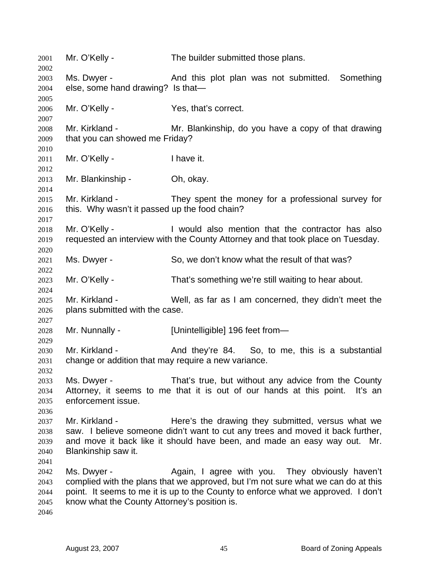Mr. O'Kelly - The builder submitted those plans. Ms. Dwyer - And this plot plan was not submitted. Something else, some hand drawing? Is that— Mr. O'Kelly - Yes, that's correct. Mr. Kirkland - The Mr. Blankinship, do you have a copy of that drawing that you can showed me Friday? Mr. O'Kelly - I have it. Mr. Blankinship - Ch, okay. Mr. Kirkland - They spent the money for a professional survey for this. Why wasn't it passed up the food chain? Mr. O'Kelly - I would also mention that the contractor has also requested an interview with the County Attorney and that took place on Tuesday. Ms. Dwyer - So, we don't know what the result of that was? Mr. O'Kelly - That's something we're still waiting to hear about. Mr. Kirkland - Well, as far as I am concerned, they didn't meet the plans submitted with the case. Mr. Nunnally - [Unintelligible] 196 feet from-Mr. Kirkland - And they're 84. So, to me, this is a substantial change or addition that may require a new variance. Ms. Dwyer - That's true, but without any advice from the County Attorney, it seems to me that it is out of our hands at this point. It's an enforcement issue. Mr. Kirkland - There's the drawing they submitted, versus what we saw. I believe someone didn't want to cut any trees and moved it back further, and move it back like it should have been, and made an easy way out. Mr. Blankinship saw it. Ms. Dwyer - The Again, I agree with you. They obviously haven't complied with the plans that we approved, but I'm not sure what we can do at this point. It seems to me it is up to the County to enforce what we approved. I don't know what the County Attorney's position is.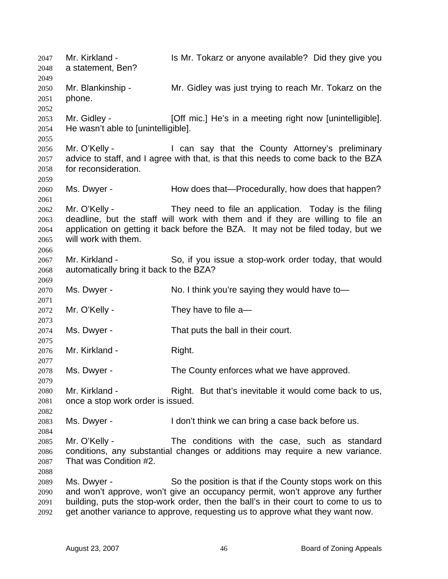Mr. Kirkland - Is Mr. Tokarz or anyone available? Did they give you a statement, Ben? 2047 2048 2049 2050 2051 2052 2053 2054 2055 2056 2057 2058 2059 2060 2061 2062 2063 2064 2065 2066 2067 2068 2069 2070 2071 2072 2073 2074 2075 2076 2077 2078 2079 2080 2081 2082 2083 2084 2085 2086 2087 2088 2089 2090 2091 2092 Mr. Blankinship - Mr. Gidley was just trying to reach Mr. Tokarz on the phone. Mr. Gidley - [Off mic.] He's in a meeting right now [unintelligible]. He wasn't able to [unintelligible]. Mr. O'Kelly - **I** can say that the County Attorney's preliminary advice to staff, and I agree with that, is that this needs to come back to the BZA for reconsideration. Ms. Dwyer - **How does that—Procedurally, how does that happen?** Mr. O'Kelly - They need to file an application. Today is the filing deadline, but the staff will work with them and if they are willing to file an application on getting it back before the BZA. It may not be filed today, but we will work with them. Mr. Kirkland - So, if you issue a stop-work order today, that would automatically bring it back to the BZA? Ms. Dwyer - No. I think you're saying they would have to-Mr. O'Kelly - They have to file a— Ms. Dwyer - That puts the ball in their court. Mr. Kirkland - Right. Ms. Dwyer - The County enforces what we have approved. Mr. Kirkland - Right. But that's inevitable it would come back to us, once a stop work order is issued. Ms. Dwyer - I don't think we can bring a case back before us. Mr. O'Kelly - The conditions with the case, such as standard conditions, any substantial changes or additions may require a new variance. That was Condition #2. Ms. Dwyer - So the position is that if the County stops work on this and won't approve, won't give an occupancy permit, won't approve any further building, puts the stop-work order, then the ball's in their court to come to us to get another variance to approve, requesting us to approve what they want now.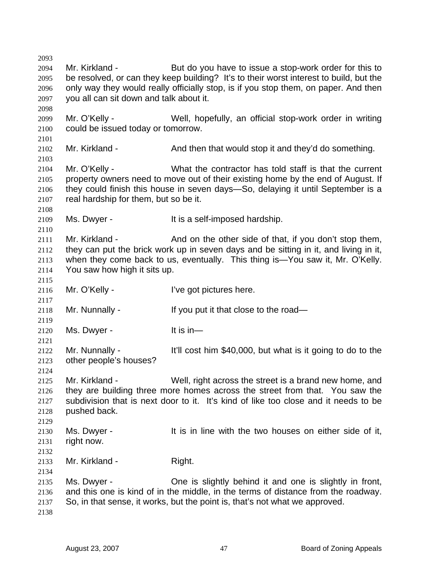2093 2094 2095 2096 2097 2098 2099 2100 2101 2102 2103 2104 2105 2106 2107 2108 2109 2110 2111 2112 2113 2114 2115 2116 2117 2118 2119 2120 2121 2122 2123 2124 2125 2126 2127 2128 2129 2130 2131 2132 2133 2134 2135 2136 2137 2138 Mr. Kirkland - But do you have to issue a stop-work order for this to be resolved, or can they keep building? It's to their worst interest to build, but the only way they would really officially stop, is if you stop them, on paper. And then you all can sit down and talk about it. Mr. O'Kelly - Well, hopefully, an official stop-work order in writing could be issued today or tomorrow. Mr. Kirkland - And then that would stop it and they'd do something. Mr. O'Kelly - What the contractor has told staff is that the current property owners need to move out of their existing home by the end of August. If they could finish this house in seven days—So, delaying it until September is a real hardship for them, but so be it. Ms. Dwyer - The Music of the South Hundes of the Music Device Hardship. Mr. Kirkland - And on the other side of that, if you don't stop them, they can put the brick work up in seven days and be sitting in it, and living in it, when they come back to us, eventually. This thing is—You saw it, Mr. O'Kelly. You saw how high it sits up. Mr. O'Kelly - **I've got pictures here.** Mr. Nunnally - If you put it that close to the road— Ms. Dwyer - It is in— Mr. Nunnally - It'll cost him \$40,000, but what is it going to do to the other people's houses? Mr. Kirkland - Well, right across the street is a brand new home, and they are building three more homes across the street from that. You saw the subdivision that is next door to it. It's kind of like too close and it needs to be pushed back. Ms. Dwyer - The same it is in line with the two houses on either side of it, right now. Mr. Kirkland - Right. Ms. Dwyer - One is slightly behind it and one is slightly in front, and this one is kind of in the middle, in the terms of distance from the roadway. So, in that sense, it works, but the point is, that's not what we approved.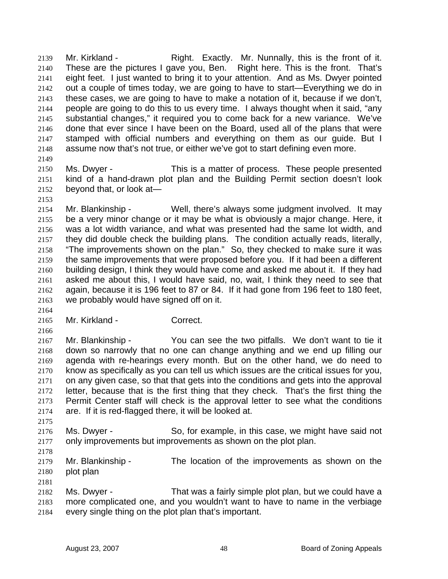Mr. Kirkland - Right. Exactly. Mr. Nunnally, this is the front of it. These are the pictures I gave you, Ben. Right here. This is the front. That's eight feet. I just wanted to bring it to your attention. And as Ms. Dwyer pointed out a couple of times today, we are going to have to start—Everything we do in these cases, we are going to have to make a notation of it, because if we don't, people are going to do this to us every time. I always thought when it said, "any substantial changes," it required you to come back for a new variance. We've done that ever since I have been on the Board, used all of the plans that were stamped with official numbers and everything on them as our guide. But I assume now that's not true, or either we've got to start defining even more. 2139 2140 2141 2142 2143 2144 2145 2146 2147 2148 2149

2150 2151 2152 Ms. Dwyer - This is a matter of process. These people presented kind of a hand-drawn plot plan and the Building Permit section doesn't look beyond that, or look at—

2153

2164

2154 2155 2156 2157 2158 2159 2160 2161 2162 2163 Mr. Blankinship - Well, there's always some judgment involved. It may be a very minor change or it may be what is obviously a major change. Here, it was a lot width variance, and what was presented had the same lot width, and they did double check the building plans. The condition actually reads, literally, "The improvements shown on the plan." So, they checked to make sure it was the same improvements that were proposed before you. If it had been a different building design, I think they would have come and asked me about it. If they had asked me about this, I would have said, no, wait, I think they need to see that again, because it is 196 feet to 87 or 84. If it had gone from 196 feet to 180 feet, we probably would have signed off on it.

2165 Mr. Kirkland - Correct.

2166 2167 2168 2169 2170 2171 2172 2173 2174 Mr. Blankinship - You can see the two pitfalls. We don't want to tie it down so narrowly that no one can change anything and we end up filling our agenda with re-hearings every month. But on the other hand, we do need to know as specifically as you can tell us which issues are the critical issues for you, on any given case, so that that gets into the conditions and gets into the approval letter, because that is the first thing that they check. That's the first thing the Permit Center staff will check is the approval letter to see what the conditions are. If it is red-flagged there, it will be looked at.

- 2176 2177 Ms. Dwyer - So, for example, in this case, we might have said not only improvements but improvements as shown on the plot plan.
- 2178

2181

2175

2179 2180 Mr. Blankinship - The location of the improvements as shown on the plot plan

2182 2183 2184 Ms. Dwyer - That was a fairly simple plot plan, but we could have a more complicated one, and you wouldn't want to have to name in the verbiage every single thing on the plot plan that's important.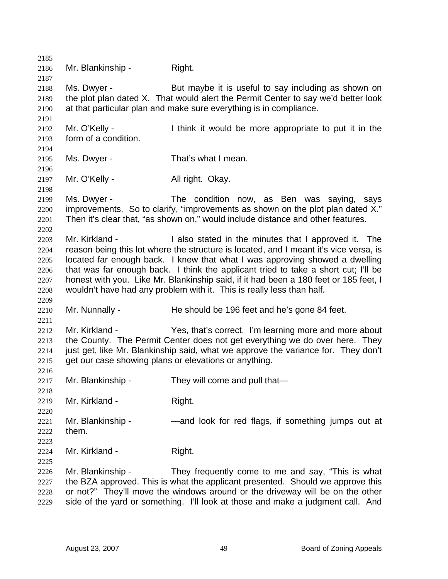2185 2186 2187 2188 2189 2190 2191 2192 2193 2194 2195 2196 2197 2198 2199 2200 2201 2202 2203 2204 2205 2206 2207 2208 2209 2210 2211 2212 2213 2214 2215 2216 2217 2218 2219 2220 2221 2222 2223 2224 2225 2226 2227 2228 2229 Mr. Blankinship - Right. Ms. Dwyer - But maybe it is useful to say including as shown on the plot plan dated X. That would alert the Permit Center to say we'd better look at that particular plan and make sure everything is in compliance. Mr. O'Kelly - I think it would be more appropriate to put it in the form of a condition. Ms. Dwyer - That's what I mean. Mr. O'Kelly - All right. Okay. Ms. Dwyer - The condition now, as Ben was saying, says improvements. So to clarify, "improvements as shown on the plot plan dated X." Then it's clear that, "as shown on," would include distance and other features. Mr. Kirkland - The I also stated in the minutes that I approved it. The reason being this lot where the structure is located, and I meant it's vice versa, is located far enough back. I knew that what I was approving showed a dwelling that was far enough back. I think the applicant tried to take a short cut; I'll be honest with you. Like Mr. Blankinship said, if it had been a 180 feet or 185 feet, I wouldn't have had any problem with it. This is really less than half. Mr. Nunnally - He should be 196 feet and he's gone 84 feet. Mr. Kirkland - The Yes, that's correct. I'm learning more and more about the County. The Permit Center does not get everything we do over here. They just get, like Mr. Blankinship said, what we approve the variance for. They don't get our case showing plans or elevations or anything. Mr. Blankinship - They will come and pull that— Mr. Kirkland - Right. Mr. Blankinship - — — — and look for red flags, if something jumps out at them. Mr. Kirkland - Right. Mr. Blankinship - They frequently come to me and say, "This is what the BZA approved. This is what the applicant presented. Should we approve this or not?" They'll move the windows around or the driveway will be on the other side of the yard or something. I'll look at those and make a judgment call. And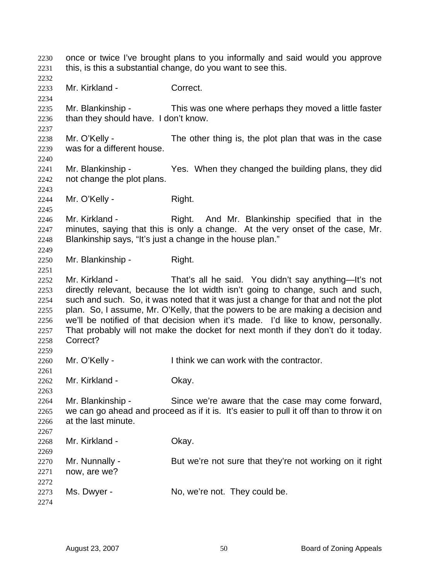once or twice I've brought plans to you informally and said would you approve this, is this a substantial change, do you want to see this. 2230 2231 2232 2233 2234 2235 2236 2237 2238 2239 2240 2241 2242 2243 2244 2245 2246 2247 2248 2249 2250 2251 2252 2253 2254 2255 2256 2257 2258 2259 2260 2261 2262 2263 2264 2265 2266 2267 2268 2269 2270 2271 2272 2273 2274 Mr. Kirkland - Correct. Mr. Blankinship - This was one where perhaps they moved a little faster than they should have. I don't know. Mr. O'Kelly - The other thing is, the plot plan that was in the case was for a different house. Mr. Blankinship - Yes. When they changed the building plans, they did not change the plot plans. Mr. O'Kelly - Right. Mr. Kirkland - Right. And Mr. Blankinship specified that in the minutes, saying that this is only a change. At the very onset of the case, Mr. Blankinship says, "It's just a change in the house plan." Mr. Blankinship - Right. Mr. Kirkland - That's all he said. You didn't say anything—It's not directly relevant, because the lot width isn't going to change, such and such, such and such. So, it was noted that it was just a change for that and not the plot plan. So, I assume, Mr. O'Kelly, that the powers to be are making a decision and we'll be notified of that decision when it's made. I'd like to know, personally. That probably will not make the docket for next month if they don't do it today. Correct? Mr. O'Kelly - I think we can work with the contractor. Mr. Kirkland - **Okay.** Mr. Blankinship - Since we're aware that the case may come forward, we can go ahead and proceed as if it is. It's easier to pull it off than to throw it on at the last minute. Mr. Kirkland - **Okay.** Mr. Nunnally - But we're not sure that they're not working on it right now, are we? Ms. Dwyer - No, we're not. They could be.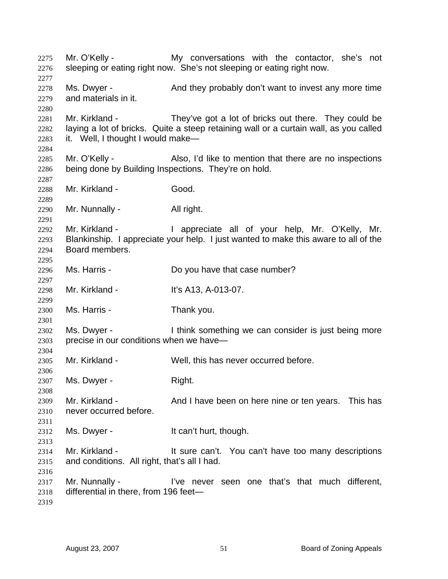Mr. O'Kelly - The My conversations with the contactor, she's not sleeping or eating right now. She's not sleeping or eating right now. Ms. Dwyer - And they probably don't want to invest any more time and materials in it. Mr. Kirkland - They've got a lot of bricks out there. They could be laying a lot of bricks. Quite a steep retaining wall or a curtain wall, as you called it. Well, I thought I would make— Mr. O'Kelly - Also, I'd like to mention that there are no inspections being done by Building Inspections. They're on hold. Mr. Kirkland - Good. Mr. Nunnally - All right. Mr. Kirkland - The appreciate all of your help, Mr. O'Kelly, Mr. Blankinship. I appreciate your help. I just wanted to make this aware to all of the Board members. Ms. Harris - Do you have that case number? Mr. Kirkland - It's A13, A-013-07. Ms. Harris - Thank you. Ms. Dwyer - I think something we can consider is just being more precise in our conditions when we have— Mr. Kirkland - Well, this has never occurred before. Ms. Dwyer - Right. Mr. Kirkland - This has a And I have been on here nine or ten years. This has never occurred before. Ms. Dwyer - The Music Hean't hurt, though. Mr. Kirkland - It sure can't. You can't have too many descriptions and conditions. All right, that's all I had. Mr. Nunnally - I've never seen one that's that much different, differential in there, from 196 feet—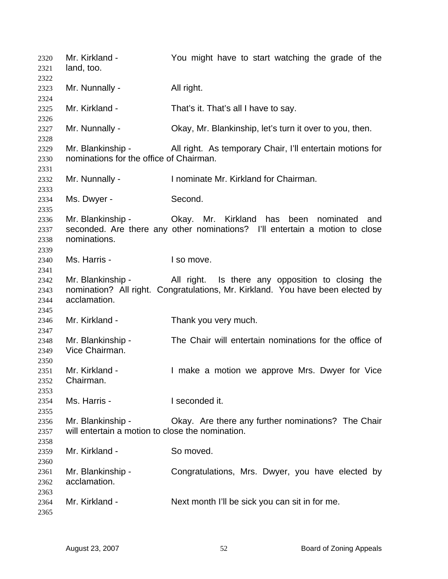Mr. Kirkland - The You might have to start watching the grade of the land, too. Mr. Nunnally - All right. Mr. Kirkland - That's it. That's all I have to say. Mr. Nunnally - Ckay, Mr. Blankinship, let's turn it over to you, then. Mr. Blankinship - All right. As temporary Chair, I'll entertain motions for nominations for the office of Chairman. Mr. Nunnally - Inominate Mr. Kirkland for Chairman. Ms. Dwyer - Second. Mr. Blankinship - Okay. Mr. Kirkland has been nominated and seconded. Are there any other nominations? I'll entertain a motion to close nominations. Ms. Harris - The I so move. Mr. Blankinship - All right. Is there any opposition to closing the nomination? All right. Congratulations, Mr. Kirkland. You have been elected by acclamation. Mr. Kirkland - Thank you very much. Mr. Blankinship - The Chair will entertain nominations for the office of Vice Chairman. Mr. Kirkland - The Music a motion we approve Mrs. Dwyer for Vice Chairman. Ms. Harris - **I** seconded it. Mr. Blankinship - Okay. Are there any further nominations? The Chair will entertain a motion to close the nomination. Mr. Kirkland - So moved. Mr. Blankinship - Congratulations, Mrs. Dwyer, you have elected by acclamation. Mr. Kirkland - Next month I'll be sick you can sit in for me.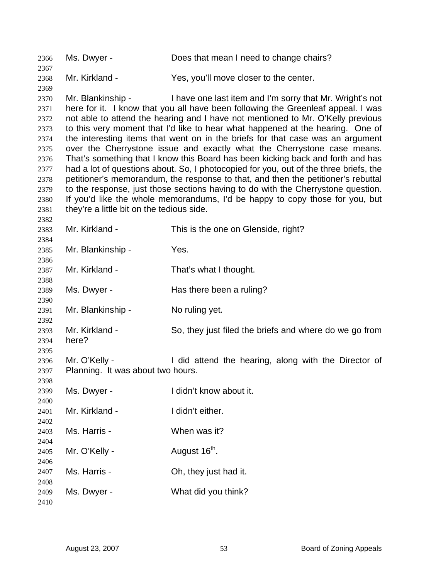Ms. Dwyer - Does that mean I need to change chairs? Mr. Kirkland - Yes, you'll move closer to the center. Mr. Blankinship - I have one last item and I'm sorry that Mr. Wright's not here for it. I know that you all have been following the Greenleaf appeal. I was not able to attend the hearing and I have not mentioned to Mr. O'Kelly previous to this very moment that I'd like to hear what happened at the hearing. One of the interesting items that went on in the briefs for that case was an argument over the Cherrystone issue and exactly what the Cherrystone case means. That's something that I know this Board has been kicking back and forth and has had a lot of questions about. So, I photocopied for you, out of the three briefs, the petitioner's memorandum, the response to that, and then the petitioner's rebuttal to the response, just those sections having to do with the Cherrystone question. If you'd like the whole memorandums, I'd be happy to copy those for you, but they're a little bit on the tedious side. Mr. Kirkland - This is the one on Glenside, right? Mr. Blankinship - Yes. Mr. Kirkland - That's what I thought. Ms. Dwyer - The Has there been a ruling? Mr. Blankinship - No ruling yet. Mr. Kirkland - So, they just filed the briefs and where do we go from here? Mr. O'Kelly - **I** did attend the hearing, along with the Director of Planning. It was about two hours. Ms. Dwyer - The Unit Know about it. Mr. Kirkland - The Huidn't either. Ms. Harris - When was it? Mr. O'Kelly -  $\mu$  August 16<sup>th</sup>. Ms. Harris - Ch, they just had it. Ms. Dwyer - What did you think?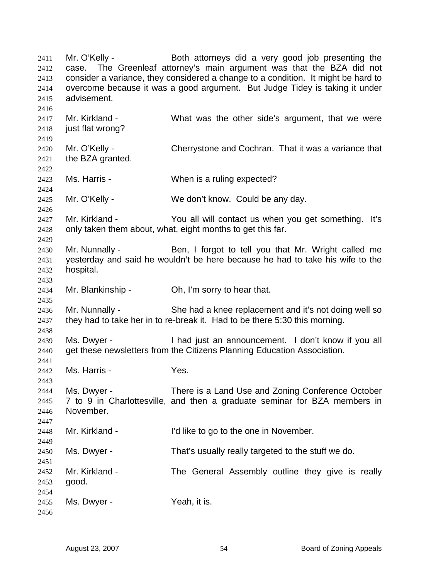Mr. O'Kelly - Both attorneys did a very good job presenting the case. The Greenleaf attorney's main argument was that the BZA did not consider a variance, they considered a change to a condition. It might be hard to overcome because it was a good argument. But Judge Tidey is taking it under advisement. 2411 2412 2413 2414 2415 2416 2417 2418 2419 2420 2421 2422 2423 2424 2425 2426 2427 2428 2429 2430 2431 2432 2433 2434 2435 2436 2437 2438 2439 2440 2441 2442 2443 2444 2445 2446 2447 2448 2449 2450 2451 2452 2453 2454 2455 2456 Mr. Kirkland - What was the other side's argument, that we were just flat wrong? Mr. O'Kelly - Cherrystone and Cochran. That it was a variance that the BZA granted. Ms. Harris - When is a ruling expected? Mr. O'Kelly - We don't know. Could be any day. Mr. Kirkland - You all will contact us when you get something. It's only taken them about, what, eight months to get this far. Mr. Nunnally - Ben, I forgot to tell you that Mr. Wright called me yesterday and said he wouldn't be here because he had to take his wife to the hospital. Mr. Blankinship - Oh, I'm sorry to hear that. Mr. Nunnally - She had a knee replacement and it's not doing well so they had to take her in to re-break it. Had to be there 5:30 this morning. Ms. Dwyer - I had just an announcement. I don't know if you all get these newsletters from the Citizens Planning Education Association. Ms. Harris - Yes. Ms. Dwyer - There is a Land Use and Zoning Conference October 7 to 9 in Charlottesville, and then a graduate seminar for BZA members in November. Mr. Kirkland - I'd like to go to the one in November. Ms. Dwyer - That's usually really targeted to the stuff we do. Mr. Kirkland - The General Assembly outline they give is really good. Ms. Dwyer - Yeah, it is.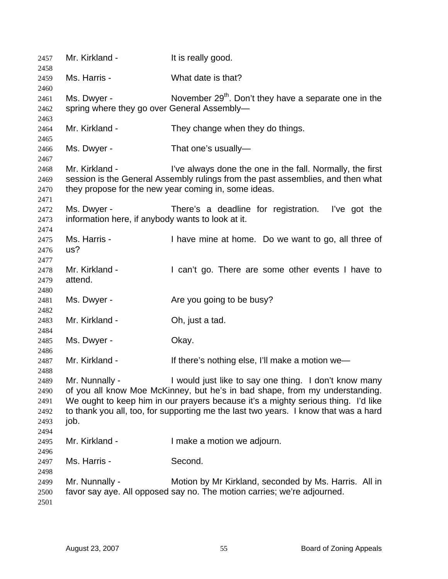| 2457                                                 | Mr. Kirkland -                                                   | It is really good.                                                                                                                                                                                                                                                                                               |
|------------------------------------------------------|------------------------------------------------------------------|------------------------------------------------------------------------------------------------------------------------------------------------------------------------------------------------------------------------------------------------------------------------------------------------------------------|
| 2458<br>2459                                         | Ms. Harris -                                                     | What date is that?                                                                                                                                                                                                                                                                                               |
| 2460<br>2461<br>2462                                 | Ms. Dwyer -<br>spring where they go over General Assembly-       | November $29th$ . Don't they have a separate one in the                                                                                                                                                                                                                                                          |
| 2463<br>2464<br>2465                                 | Mr. Kirkland -                                                   | They change when they do things.                                                                                                                                                                                                                                                                                 |
| 2466<br>2467                                         | Ms. Dwyer -                                                      | That one's usually-                                                                                                                                                                                                                                                                                              |
| 2468<br>2469<br>2470<br>2471                         | Mr. Kirkland -                                                   | I've always done the one in the fall. Normally, the first<br>session is the General Assembly rulings from the past assemblies, and then what<br>they propose for the new year coming in, some ideas.                                                                                                             |
| 2472<br>2473                                         | Ms. Dwyer -<br>information here, if anybody wants to look at it. | There's a deadline for registration. I've got the                                                                                                                                                                                                                                                                |
| 2474<br>2475<br>2476<br>2477                         | Ms. Harris -<br>us?                                              | I have mine at home. Do we want to go, all three of                                                                                                                                                                                                                                                              |
| 2478<br>2479<br>2480                                 | Mr. Kirkland -<br>attend.                                        | I can't go. There are some other events I have to                                                                                                                                                                                                                                                                |
| 2481<br>2482                                         | Ms. Dwyer -                                                      | Are you going to be busy?                                                                                                                                                                                                                                                                                        |
| 2483<br>2484                                         | Mr. Kirkland -                                                   | Oh, just a tad.                                                                                                                                                                                                                                                                                                  |
| 2485                                                 | Ms. Dwyer -                                                      | Okay.                                                                                                                                                                                                                                                                                                            |
| 2486<br>2487                                         | Mr. Kirkland -                                                   | If there's nothing else, I'll make a motion we-                                                                                                                                                                                                                                                                  |
| 2488<br>2489<br>2490<br>2491<br>2492<br>2493<br>2494 | Mr. Nunnally -<br>job.                                           | I would just like to say one thing. I don't know many<br>of you all know Moe McKinney, but he's in bad shape, from my understanding.<br>We ought to keep him in our prayers because it's a mighty serious thing. I'd like<br>to thank you all, too, for supporting me the last two years. I know that was a hard |
| 2495<br>2496                                         | Mr. Kirkland -                                                   | I make a motion we adjourn.                                                                                                                                                                                                                                                                                      |
| 2497<br>2498                                         | Ms. Harris -                                                     | Second.                                                                                                                                                                                                                                                                                                          |
| 2499<br>2500<br>2501                                 | Mr. Nunnally -                                                   | Motion by Mr Kirkland, seconded by Ms. Harris. All in<br>favor say aye. All opposed say no. The motion carries; we're adjourned.                                                                                                                                                                                 |